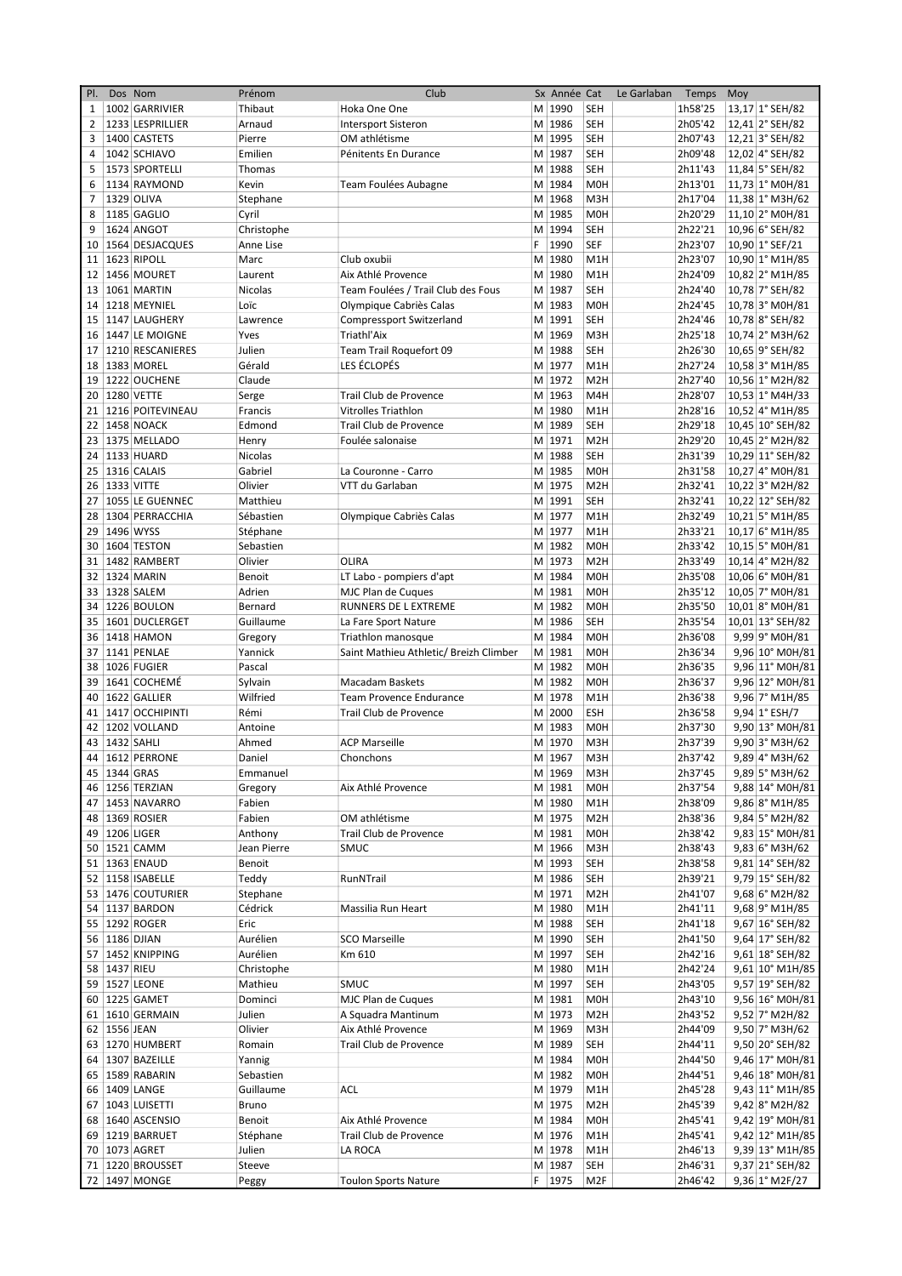| PI. | Dos Nom       |                       | Prénom      | Club                                   |     | Sx Année Cat |                  | Le Garlaban | Temps   | Moy |                     |
|-----|---------------|-----------------------|-------------|----------------------------------------|-----|--------------|------------------|-------------|---------|-----|---------------------|
| 1   |               | 1002 GARRIVIER        | Thibaut     | Hoka One One                           |     | M 1990       | <b>SEH</b>       |             | 1h58'25 |     | 13,17 1° SEH/82     |
| 2   |               | 1233 LESPRILLIER      | Arnaud      | <b>Intersport Sisteron</b>             |     | M 1986       | <b>SEH</b>       |             | 2h05'42 |     | 12,41 2° SEH/82     |
| 3   |               | 1400 CASTETS          | Pierre      | OM athlétisme                          |     | M 1995       | <b>SEH</b>       |             | 2h07'43 |     | 12,21 3° SEH/82     |
| 4   |               | 1042 SCHIAVO          | Emilien     | Pénitents En Durance                   |     | M 1987       | <b>SEH</b>       |             | 2h09'48 |     | 12,02 4° SEH/82     |
| 5   |               | 1573 SPORTELLI        | Thomas      |                                        |     | M 1988       | <b>SEH</b>       |             | 2h11'43 |     | 11,84 5° SEH/82     |
|     |               | 1134 RAYMOND          |             |                                        |     |              |                  |             |         |     |                     |
| 6   |               |                       | Kevin       | Team Foulées Aubagne                   |     | M 1984       | M <sub>O</sub> H |             | 2h13'01 |     | 11,73 1° M0H/81     |
| 7   |               | 1329 OLIVA            | Stephane    |                                        |     | M 1968       | M3H              |             | 2h17'04 |     | 11,38 1° M3H/62     |
| 8   |               | 1185 GAGLIO           | Cyril       |                                        |     | M 1985       | M <sub>O</sub> H |             | 2h20'29 |     | 11,10 2° M0H/81     |
| 9   |               | 1624 ANGOT            | Christophe  |                                        |     | M 1994       | <b>SEH</b>       |             | 2h22'21 |     | 10,96 6° SEH/82     |
| 10  |               | 1564 DESJACQUES       | Anne Lise   |                                        | F   | 1990         | <b>SEF</b>       |             | 2h23'07 |     | 10,90 1° SEF/21     |
| 11  |               | 1623 RIPOLL           | Marc        | Club oxubii                            |     | M 1980       | M1H              |             | 2h23'07 |     | 10,90 1° M1H/85     |
| 12  |               | 1456 MOURET           | Laurent     | Aix Athlé Provence                     | M   | 1980         | M <sub>1</sub> H |             | 2h24'09 |     | 10,82 2° M1H/85     |
| 13  |               | 1061 MARTIN           | Nicolas     | Team Foulées / Trail Club des Fous     |     | M 1987       | <b>SEH</b>       |             | 2h24'40 |     | 10,78 7° SEH/82     |
| 14  |               | 1218 MEYNIEL          | Loïc        | Olympique Cabriès Calas                |     | M 1983       | M <sub>O</sub> H |             | 2h24'45 |     | 10,78 3° M0H/81     |
| 15  |               | 1147 LAUGHERY         | Lawrence    | Compressport Switzerland               |     | M 1991       | <b>SEH</b>       |             | 2h24'46 |     | 10,78 8° SEH/82     |
|     |               | 1447 LE MOIGNE        | Yves        | Triathl'Aix                            |     | M 1969       | M3H              |             | 2h25'18 |     |                     |
| 16  |               |                       |             |                                        |     |              |                  |             |         |     | 10,74 2° M3H/62     |
| 17  |               | 1210 RESCANIERES      | Julien      | Team Trail Roquefort 09                |     | M 1988       | SEH              |             | 2h26'30 |     | 10,65 9° SEH/82     |
| 18  |               | 1383 MOREL            | Gérald      | LES ÉCLOPÉS                            |     | M 1977       | M <sub>1</sub> H |             | 2h27'24 |     | $10,58$ 3° M1H/85   |
| 19  |               | 1222 OUCHENE          | Claude      |                                        |     | M 1972       | M <sub>2</sub> H |             | 2h27'40 |     | 10,56 1° M2H/82     |
| 20  |               | 1280 VETTE            | Serge       | Trail Club de Provence                 |     | M 1963       | M4H              |             | 2h28'07 |     | $10,53$ 1° M4H/33   |
| 21  |               | 1216 POITEVINEAU      | Francis     | <b>Vitrolles Triathlon</b>             |     | M 1980       | M1H              |             | 2h28'16 |     | 10,52 4° M1H/85     |
| 22  |               | 1458 NOACK            | Edmond      | Trail Club de Provence                 |     | M 1989       | <b>SEH</b>       |             | 2h29'18 |     | 10,45 10° SEH/82    |
| 23  |               | 1375 MELLADO          | Henry       | Foulée salonaise                       |     | M 1971       | M <sub>2</sub> H |             | 2h29'20 |     | 10,45 2° M2H/82     |
| 24  |               | 1133 HUARD            | Nicolas     |                                        |     | M 1988       | <b>SEH</b>       |             | 2h31'39 |     | 10,29 11° SEH/82    |
| 25  |               | 1316 CALAIS           | Gabriel     | La Couronne - Carro                    |     | M 1985       | <b>M0H</b>       |             | 2h31'58 |     | 10,27 4° M0H/81     |
|     | 26 1333 VITTE |                       | Olivier     | VTT du Garlaban                        |     | M 1975       | M <sub>2</sub> H |             | 2h32'41 |     | 10,22 3° M2H/82     |
| 27  |               | 1055 LE GUENNEC       | Matthieu    |                                        |     | M 1991       | <b>SEH</b>       |             | 2h32'41 |     | 10,22 12° SEH/82    |
|     |               |                       |             |                                        |     |              |                  |             |         |     |                     |
| 28  |               | 1304 PERRACCHIA       | Sébastien   | Olympique Cabriès Calas                |     | M 1977       | M1H              |             | 2h32'49 |     | 10,21 5° M1H/85     |
| 29  | 1496 WYSS     |                       | Stéphane    |                                        |     | M 1977       | M1H              |             | 2h33'21 |     | $10,17$ 6° M1H/85   |
| 30  |               | 1604 TESTON           | Sebastien   |                                        |     | M 1982       | M <sub>OH</sub>  |             | 2h33'42 |     | 10,15 5° M0H/81     |
| 31  |               | 1482 RAMBERT          | Olivier     | <b>OLIRA</b>                           |     | M 1973       | M <sub>2</sub> H |             | 2h33'49 |     | $10,14$   4° M2H/82 |
| 32  |               | 1324 MARIN            | Benoit      | LT Labo - pompiers d'apt               |     | M 1984       | M <sub>OH</sub>  |             | 2h35'08 |     | 10,06 6° M0H/81     |
| 33  |               | 1328 SALEM            | Adrien      | MJC Plan de Cuques                     |     | M 1981       | M <sub>OH</sub>  |             | 2h35'12 |     | 10,05 7° M0H/81     |
| 34  |               | 1226 BOULON           | Bernard     | RUNNERS DE L EXTREME                   |     | M 1982       | M <sub>O</sub> H |             | 2h35'50 |     | 10,01 8° M0H/81     |
| 35  |               | 1601 DUCLERGET        | Guillaume   | La Fare Sport Nature                   |     | M 1986       | <b>SEH</b>       |             | 2h35'54 |     | 10,01 13° SEH/82    |
| 36  |               | <b>1418 HAMON</b>     | Gregory     | Triathlon manosque                     |     | M 1984       | M <sub>OH</sub>  |             | 2h36'08 |     | 9,99 9° M0H/81      |
| 37  |               | 1141 PENLAE           | Yannick     | Saint Mathieu Athletic/ Breizh Climber |     | M 1981       | M <sub>O</sub> H |             | 2h36'34 |     | 9,96 10° M0H/81     |
|     |               |                       |             |                                        |     | M 1982       |                  |             |         |     |                     |
| 38  |               | 1026 FUGIER           | Pascal      |                                        |     |              | M <sub>O</sub> H |             | 2h36'35 |     | 9,96 11° M0H/81     |
| 39  |               | 1641 COCHEMÉ          | Sylvain     | <b>Macadam Baskets</b>                 |     | M 1982       | M <sub>OH</sub>  |             | 2h36'37 |     | 9,96 12° M0H/81     |
| 40  |               | 1622 GALLIER          | Wilfried    | <b>Team Provence Endurance</b>         |     | M 1978       | M1H              |             | 2h36'38 |     | 9,96 7° M1H/85      |
| 41  |               | 1417 OCCHIPINTI       | Rémi        | Trail Club de Provence                 |     | M 2000       | ESH              |             | 2h36'58 |     | 9,94 1° ESH/7       |
| 42  |               | 1202 VOLLAND          | Antoine     |                                        |     | M 1983       | M <sub>OH</sub>  |             | 2h37'30 |     | 9,90 13° M0H/81     |
| 43  | 1432 SAHLI    |                       | Ahmed       | <b>ACP Marseille</b>                   | M l | 1970         | M3H              |             | 2h37'39 |     | 9,90 3° M3H/62      |
| 44  |               | 1612 PERRONE          | Daniel      | Chonchons                              |     | M 1967       | M3H              |             | 2h37'42 |     | 9,89 4° M3H/62      |
|     | 45 1344 GRAS  |                       | Emmanuel    |                                        |     | M 1969       | M3H              |             | 2h37'45 |     | 9,89 5° M3H/62      |
|     |               | 46 1256 TERZIAN       | Gregory     | Aix Athlé Provence                     |     | M 1981       | M <sub>O</sub> H |             | 2h37'54 |     | 9,88 14° M0H/81     |
|     |               | 47   1453   NAVARRO   | Fabien      |                                        |     | M 1980       | M1H              |             | 2h38'09 |     | 9,86 8° M1H/85      |
|     |               | 48 1369 ROSIER        | Fabien      | OM athlétisme                          |     | M 1975       | M <sub>2</sub> H |             | 2h38'36 |     | 9,84 5° M2H/82      |
|     |               | 49 1206 LIGER         | Anthony     | Trail Club de Provence                 |     | M 1981       | M0H              |             | 2h38'42 |     | 9,83 15° M0H/81     |
|     |               | 50 1521 CAMM          | Jean Pierre | <b>SMUC</b>                            |     | M 1966       | M3H              |             | 2h38'43 |     | 9,83 6° M3H/62      |
|     |               | 51 1363 ENAUD         | Benoit      |                                        |     | M 1993       | SEH              |             | 2h38'58 |     |                     |
|     |               |                       |             |                                        |     |              |                  |             |         |     | 9,81 14° SEH/82     |
|     |               | 52   1158   ISABELLE  | Teddy       | RunNTrail                              |     | M 1986       | SEH              |             | 2h39'21 |     | 9,79 15° SEH/82     |
|     |               | 53   1476   COUTURIER | Stephane    |                                        |     | M 1971       | M <sub>2</sub> H |             | 2h41'07 |     | 9,68 6° M2H/82      |
|     |               | 54   1137   BARDON    | Cédrick     | Massilia Run Heart                     |     | M 1980       | M1H              |             | 2h41'11 |     | 9,68 9° M1H/85      |
|     |               | 55   1292   ROGER     | Eric        |                                        |     | M 1988       | SEH              |             | 2h41'18 |     | 9,67 16° SEH/82     |
|     | 56 1186 DJIAN |                       | Aurélien    | <b>SCO Marseille</b>                   |     | M 1990       | <b>SEH</b>       |             | 2h41'50 |     | 9,64 17° SEH/82     |
|     |               | 57   1452   KNIPPING  | Aurélien    | Km 610                                 |     | M 1997       | <b>SEH</b>       |             | 2h42'16 |     | 9,61 18° SEH/82     |
|     | 58 1437 RIEU  |                       | Christophe  |                                        |     | M 1980       | M1H              |             | 2h42'24 |     | 9,61 10° M1H/85     |
|     |               | 59 1527 LEONE         | Mathieu     | SMUC                                   |     | M 1997       | SEH              |             | 2h43'05 |     | 9,57 19° SEH/82     |
|     |               | 60 1225 GAMET         | Dominci     | MJC Plan de Cuques                     |     | M 1981       | M <sub>O</sub> H |             | 2h43'10 |     | 9,56 16° M0H/81     |
|     |               | 61   1610   GERMAIN   | Julien      | A Squadra Mantinum                     |     | M 1973       | M <sub>2</sub> H |             | 2h43'52 |     | 9,52 7° M2H/82      |
|     | 62 1556 JEAN  |                       | Olivier     | Aix Athlé Provence                     |     | M 1969       | M3H              |             | 2h44'09 |     | 9,50 7° M3H/62      |
|     |               | 63   1270   HUMBERT   |             |                                        |     | M 1989       |                  |             | 2h44'11 |     | 9,50 20° SEH/82     |
|     |               |                       | Romain      | Trail Club de Provence                 |     |              | SEH              |             |         |     |                     |
|     |               | 64   1307   BAZEILLE  | Yannig      |                                        |     | M 1984       | M <sub>O</sub> H |             | 2h44'50 |     | 9,46 17° M0H/81     |
|     |               | 65   1589   RABARIN   | Sebastien   |                                        |     | M 1982       | M <sub>O</sub> H |             | 2h44'51 |     | 9,46 18° M0H/81     |
|     |               | 66 1409 LANGE         | Guillaume   | ACL                                    |     | M 1979       | M1H              |             | 2h45'28 |     | 9,43 11° M1H/85     |
|     |               | 67 1043 LUISETTI      | Bruno       |                                        |     | M 1975       | M <sub>2</sub> H |             | 2h45'39 |     | 9,42 8° M2H/82      |
|     |               | 68   1640   ASCENSIO  | Benoit      | Aix Athlé Provence                     |     | M 1984       | M0H              |             | 2h45'41 |     | 9,42 19° M0H/81     |
|     |               | 69   1219   BARRUET   | Stéphane    | Trail Club de Provence                 |     | M 1976       | M1H              |             | 2h45'41 |     | 9,42 12° M1H/85     |
|     |               | 70 1073 AGRET         | Julien      | LA ROCA                                |     | M 1978       | M1H              |             | 2h46'13 |     | 9,39 13° M1H/85     |
|     |               | 71   1220   BROUSSET  | Steeve      |                                        |     | M 1987       | SEH              |             | 2h46'31 |     | 9,37 21° SEH/82     |
|     |               | 72 1497 MONGE         | Peggy       | <b>Toulon Sports Nature</b>            |     | F 1975       | M <sub>2F</sub>  |             | 2h46'42 |     | 9,36 1° M2F/27      |
|     |               |                       |             |                                        |     |              |                  |             |         |     |                     |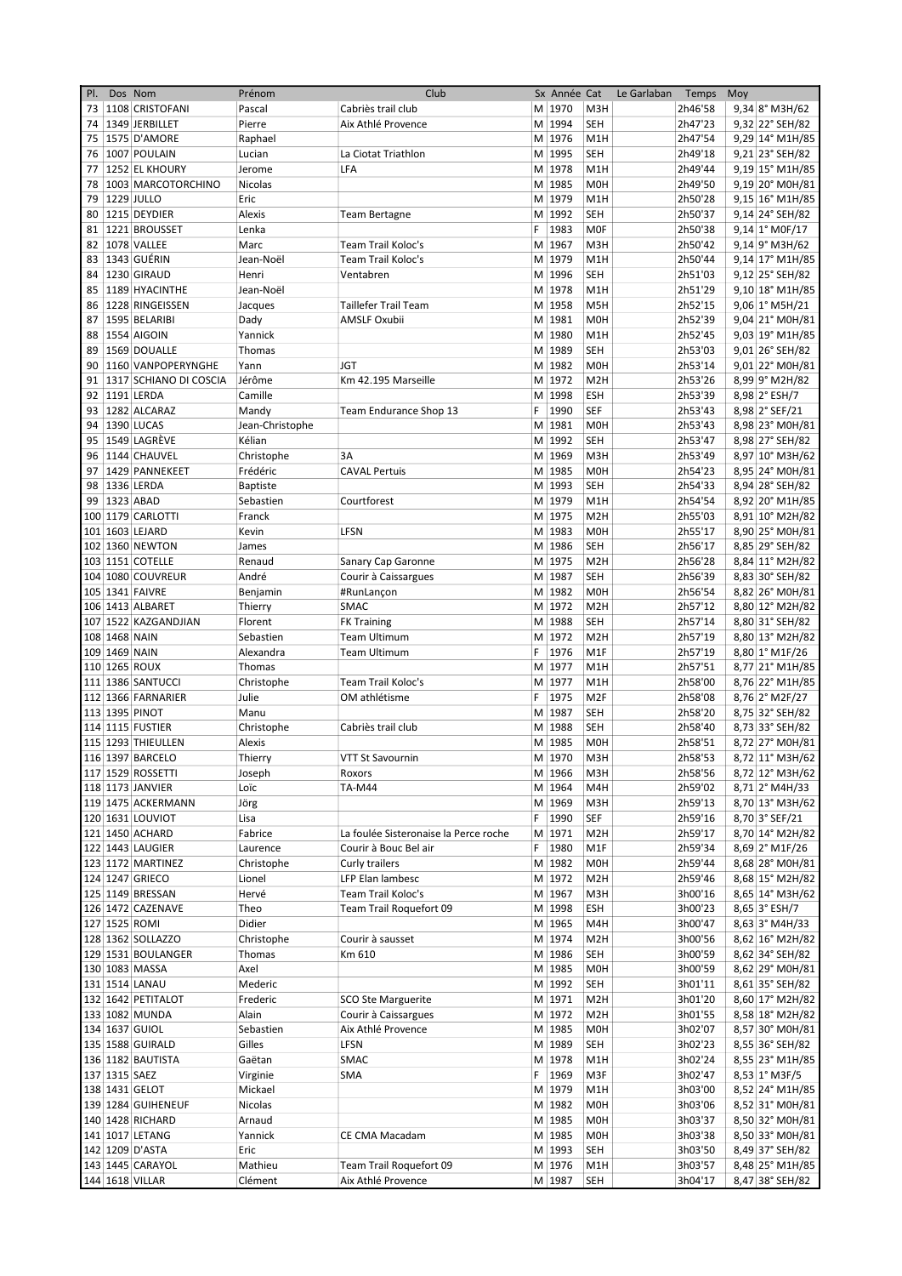| PI. |               | Dos Nom                | Prénom          | Club                                  |    | Sx Année Cat |                  | Le Garlaban | Temps   | Moy |                          |
|-----|---------------|------------------------|-----------------|---------------------------------------|----|--------------|------------------|-------------|---------|-----|--------------------------|
| 73  |               | 1108 CRISTOFANI        | Pascal          | Cabriès trail club                    |    | M 1970       | M3H              |             | 2h46'58 |     | 9,34 8° M3H/62           |
| 74  |               | 1349 JERBILLET         | Pierre          | Aix Athlé Provence                    |    | M 1994       | <b>SEH</b>       |             | 2h47'23 |     | 9,32 22° SEH/82          |
| 75  |               | 1575 D'AMORE           | Raphael         |                                       |    | M 1976       | M <sub>1</sub> H |             | 2h47'54 |     | $9,29$ 14° M1H/85        |
| 76  |               | 1007 POULAIN           | Lucian          | La Ciotat Triathlon                   |    | M 1995       | <b>SEH</b>       |             | 2h49'18 |     | 9,21 23° SEH/82          |
| 77  |               | 1252 EL KHOURY         | Jerome          | LFA                                   |    | M 1978       | M <sub>1</sub> H |             | 2h49'44 |     | 9,19 15° M1H/85          |
| 78  |               | 1003 MARCOTORCHINO     | Nicolas         |                                       |    | M 1985       | <b>MOH</b>       |             | 2h49'50 |     | $9,19 20^{\circ}$ M0H/81 |
| 79  |               | 1229 JULLO             | Eric            |                                       |    | M 1979       | M <sub>1</sub> H |             | 2h50'28 |     | 9,15 16° M1H/85          |
| 80  |               | 1215 DEYDIER           | Alexis          | <b>Team Bertagne</b>                  |    | M 1992       | <b>SEH</b>       |             | 2h50'37 |     | 9,14 24° SEH/82          |
| 81  |               | 1221 BROUSSET          | Lenka           |                                       | F  | 1983         | <b>MOF</b>       |             | 2h50'38 |     | $9,14 1°$ MOF/17         |
| 82  |               | 1078 VALLEE            | Marc            | <b>Team Trail Koloc's</b>             |    | M 1967       | M <sub>3</sub> H |             | 2h50'42 |     | 9,14 9° M3H/62           |
| 83  |               | 1343 GUÉRIN            | Jean-Noël       | <b>Team Trail Koloc's</b>             |    | M 1979       | M <sub>1</sub> H |             | 2h50'44 |     | 9,14 17° M1H/85          |
| 84  |               | 1230 GIRAUD            | Henri           | Ventabren                             |    | M 1996       | <b>SEH</b>       |             | 2h51'03 |     | 9,12 25° SEH/82          |
| 85  |               | 1189 HYACINTHE         | Jean-Noël       |                                       |    | M 1978       | M <sub>1</sub> H |             | 2h51'29 |     | 9,10 18° M1H/85          |
| 86  |               | 1228 RINGEISSEN        |                 | <b>Taillefer Trail Team</b>           |    | M 1958       | M <sub>5</sub> H |             | 2h52'15 |     | 9,06 1° M5H/21           |
| 87  |               | 1595 BELARIBI          | Jacques         | AMSLF Oxubii                          |    | M 1981       | M <sub>OH</sub>  |             | 2h52'39 |     | 9,04 21° M0H/81          |
|     |               |                        | Dady<br>Yannick |                                       |    | M 1980       |                  |             | 2h52'45 |     |                          |
| 88  |               | 1554 AIGOIN            |                 |                                       |    |              | M <sub>1</sub> H |             |         |     | 9,03 19° M1H/85          |
| 89  |               | 1569 DOUALLE           | Thomas          |                                       |    | M 1989       | SEH              |             | 2h53'03 |     | 9,01 26° SEH/82          |
| 90  |               | 1160 VANPOPERYNGHE     | Yann            | <b>JGT</b>                            |    | M 1982       | M <sub>OH</sub>  |             | 2h53'14 |     | 9,01 22° M0H/81          |
| 91  |               | 1317 SCHIANO DI COSCIA | Jérôme          | Km 42.195 Marseille                   |    | M 1972       | M <sub>2</sub> H |             | 2h53'26 |     | 8,99 9° M2H/82           |
| 92  |               | 1191 LERDA             | Camille         |                                       |    | M 1998       | ESH              |             | 2h53'39 |     | 8,98 2° ESH/7            |
| 93  |               | 1282 ALCARAZ           | Mandy           | Team Endurance Shop 13                | F  | 1990         | <b>SEF</b>       |             | 2h53'43 |     | 8,98 2° SEF/21           |
| 94  |               | 1390 LUCAS             | Jean-Christophe |                                       |    | M 1981       | <b>M0H</b>       |             | 2h53'43 |     | 8,98 23° M0H/81          |
| 95  |               | 1549 LAGRÈVE           | Kélian          |                                       |    | M 1992       | SEH              |             | 2h53'47 |     | 8,98 27° SEH/82          |
| 96  |               | 1144 CHAUVEL           | Christophe      | 3A                                    |    | M 1969       | M3H              |             | 2h53'49 |     | 8,97 10° M3H/62          |
| 97  |               | 1429 PANNEKEET         | Frédéric        | <b>CAVAL Pertuis</b>                  |    | M 1985       | <b>M0H</b>       |             | 2h54'23 |     | 8,95 24° M0H/81          |
|     |               | 98 1336 LERDA          | <b>Baptiste</b> |                                       |    | M 1993       | SEH              |             | 2h54'33 |     | 8,94 28° SEH/82          |
| 99  |               | 1323 ABAD              | Sebastien       | Courtforest                           |    | M 1979       | M <sub>1</sub> H |             | 2h54'54 |     | 8,92 20° M1H/85          |
|     |               | 100 1179 CARLOTTI      | Franck          |                                       |    | M 1975       | M <sub>2</sub> H |             | 2h55'03 |     | 8,91 10° M2H/82          |
|     |               | 101 1603 LEJARD        | Kevin           | LFSN                                  |    | M 1983       | <b>MOH</b>       |             | 2h55'17 |     | 8,90 25° M0H/81          |
|     |               | 102 1360 NEWTON        | James           |                                       |    | M 1986       | <b>SEH</b>       |             | 2h56'17 |     | 8,85 29° SEH/82          |
|     |               | 103 1151 COTELLE       | Renaud          | Sanary Cap Garonne                    |    | M 1975       | M <sub>2</sub> H |             | 2h56'28 |     | 8,84 11° M2H/82          |
|     |               | 104 1080 COUVREUR      | André           | Courir à Caissargues                  |    | M 1987       | <b>SEH</b>       |             | 2h56'39 |     | 8,83 30° SEH/82          |
|     |               | 105 1341 FAIVRE        | Benjamin        | #RunLançon                            |    | M 1982       | <b>MOH</b>       |             | 2h56'54 |     | 8,82 26° M0H/81          |
|     |               | 106 1413 ALBARET       | Thierry         | <b>SMAC</b>                           |    | M 1972       | M <sub>2</sub> H |             | 2h57'12 |     | 8,80 12° M2H/82          |
|     |               | 107 1522 KAZGANDJIAN   | Florent         | <b>FK Training</b>                    |    | M 1988       | <b>SEH</b>       |             | 2h57'14 |     | 8,80 31° SEH/82          |
|     | 108 1468 NAIN |                        | Sebastien       | <b>Team Ultimum</b>                   |    | M 1972       | M <sub>2</sub> H |             | 2h57'19 |     | 8,80 13° M2H/82          |
|     | 109 1469 NAIN |                        | Alexandra       | <b>Team Ultimum</b>                   | F  | 1976         | M <sub>1</sub> F |             | 2h57'19 |     | 8,80 1° M1F/26           |
|     |               | 110 1265 ROUX          | Thomas          |                                       |    | M 1977       | M <sub>1</sub> H |             | 2h57'51 |     | 8,77 21° M1H/85          |
|     |               | 111 1386 SANTUCCI      | Christophe      | Team Trail Koloc's                    |    | M 1977       | M <sub>1</sub> H |             | 2h58'00 |     | 8,76 22° M1H/85          |
|     |               | 112 1366 FARNARIER     | Julie           | OM athlétisme                         | F. | 1975         | M <sub>2F</sub>  |             | 2h58'08 |     |                          |
|     |               |                        |                 |                                       |    |              |                  |             |         |     | 8,76 2° M2F/27           |
|     |               | 113 1395 PINOT         | Manu            |                                       |    | M 1987       | <b>SEH</b>       |             | 2h58'20 |     | 8,75 32° SEH/82          |
|     |               | 114 1115 FUSTIER       | Christophe      | Cabriès trail club                    |    | M 1988       | <b>SEH</b>       |             | 2h58'40 |     | 8,73 33° SEH/82          |
|     |               | 115 1293 THIEULLEN     | Alexis          |                                       |    | M 1985       | <b>MOH</b>       |             | 2h58'51 |     | 8,72 27° M0H/81          |
|     |               | 116 1397 BARCELO       | Thierry         | VTT St Savournin                      |    | M 1970       | M3H              |             | 2h58'53 |     | 8,72 11° M3H/62          |
|     |               | 117 1529 ROSSETTI      | Joseph          | Roxors                                |    | M 1966       | M3H              |             | 2h58'56 |     | 8,72 12° M3H/62          |
|     |               | 118 1173 JANVIER       | Loïc            | TA-M44                                |    | M 1964       | M4H              |             | 2h59'02 |     | 8,71 2° M4H/33           |
|     |               | 119 1475 ACKERMANN     | Jörg            |                                       |    | M 1969       | M3H              |             | 2h59'13 |     | 8,70 13° M3H/62          |
|     |               | 120 1631 LOUVIOT       | Lisa            |                                       | F. | 1990         | SEF              |             | 2h59'16 |     | 8,70 3° SEF/21           |
|     |               | 121 1450 ACHARD        | Fabrice         | La foulée Sisteronaise la Perce roche |    | M 1971       | M2H              |             | 2h59'17 |     | 8,70 14° M2H/82          |
|     |               | 122 1443 LAUGIER       | Laurence        | Courir à Bouc Bel air                 | F  | 1980         | M1F              |             | 2h59'34 |     | 8,69 2° M1F/26           |
|     |               | 123 1172 MARTINEZ      | Christophe      | Curly trailers                        |    | M 1982       | M0H              |             | 2h59'44 |     | 8,68 28° M0H/81          |
|     |               | 124 1247 GRIECO        | Lionel          | LFP Elan lambesc                      |    | M 1972       | M <sub>2</sub> H |             | 2h59'46 |     | 8,68 15° M2H/82          |
|     |               | 125 1149 BRESSAN       | Hervé           | Team Trail Koloc's                    |    | M 1967       | M3H              |             | 3h00'16 |     | 8,65 14° M3H/62          |
|     |               | 126 1472 CAZENAVE      | Theo            | Team Trail Roquefort 09               |    | M 1998       | ESH              |             | 3h00'23 |     | 8,65 3° ESH/7            |
|     |               | 127 1525 ROMI          | Didier          |                                       |    | M 1965       | M4H              |             | 3h00'47 |     | 8,63 3° M4H/33           |
|     |               | 128 1362 SOLLAZZO      | Christophe      | Courir à sausset                      |    | M 1974       | M <sub>2</sub> H |             | 3h00'56 |     | 8,62 16° M2H/82          |
|     |               | 129 1531 BOULANGER     | Thomas          | Km 610                                |    | M 1986       | SEH              |             | 3h00'59 |     | 8,62 34° SEH/82          |
|     |               | 130 1083 MASSA         | Axel            |                                       |    | M 1985       | M0H              |             | 3h00'59 |     | 8,62 29° M0H/81          |
|     |               | 131 1514 LANAU         | Mederic         |                                       |    | M 1992       | SEH              |             | 3h01'11 |     | 8,61 35° SEH/82          |
|     |               | 132 1642 PETITALOT     | Frederic        | <b>SCO Ste Marguerite</b>             |    | M 1971       | M <sub>2</sub> H |             | 3h01'20 |     | 8,60 17° M2H/82          |
|     |               | 133 1082 MUNDA         | Alain           | Courir à Caissargues                  |    | M 1972       | M <sub>2</sub> H |             | 3h01'55 |     | 8,58 18° M2H/82          |
|     |               | 134 1637 GUIOL         | Sebastien       | Aix Athlé Provence                    |    | M 1985       | M0H              |             | 3h02'07 |     | 8,57 30° M0H/81          |
|     |               | 135 1588 GUIRALD       | Gilles          | LFSN                                  |    | M 1989       | SEH              |             | 3h02'23 |     | 8,55 36° SEH/82          |
|     |               | 136 1182 BAUTISTA      | Gaëtan          | SMAC                                  |    | M 1978       | M1H              |             | 3h02'24 |     | 8,55 23° M1H/85          |
|     | 137 1315 SAEZ |                        | Virginie        | SMA                                   | F  | 1969         | M3F              |             | 3h02'47 |     | 8,53 1° M3F/5            |
|     |               | 138 1431 GELOT         | Mickael         |                                       |    | M 1979       | M1H              |             | 3h03'00 |     | 8,52 24° M1H/85          |
|     |               | 139 1284 GUIHENEUF     | Nicolas         |                                       |    | M 1982       | M0H              |             | 3h03'06 |     | 8,52 31° M0H/81          |
|     |               | 140 1428 RICHARD       | Arnaud          |                                       |    | M 1985       | M0H              |             | 3h03'37 |     | 8,50 32° M0H/81          |
|     |               | 141 1017 LETANG        | Yannick         |                                       |    | M 1985       | M0H              |             | 3h03'38 |     |                          |
|     |               |                        |                 | CE CMA Macadam                        |    |              |                  |             |         |     | 8,50 33° M0H/81          |
|     |               | 142 1209 D'ASTA        | Eric            |                                       |    | M 1993       | SEH              |             | 3h03'50 |     | 8,49 37° SEH/82          |
|     |               | 143 1445 CARAYOL       | Mathieu         | Team Trail Roquefort 09               |    | M 1976       | M1H              |             | 3h03'57 |     | 8,48 25° M1H/85          |
|     |               | 144 1618 VILLAR        | Clément         | Aix Athlé Provence                    |    | M 1987       | SEH              |             | 3h04'17 |     | 8,47 38° SEH/82          |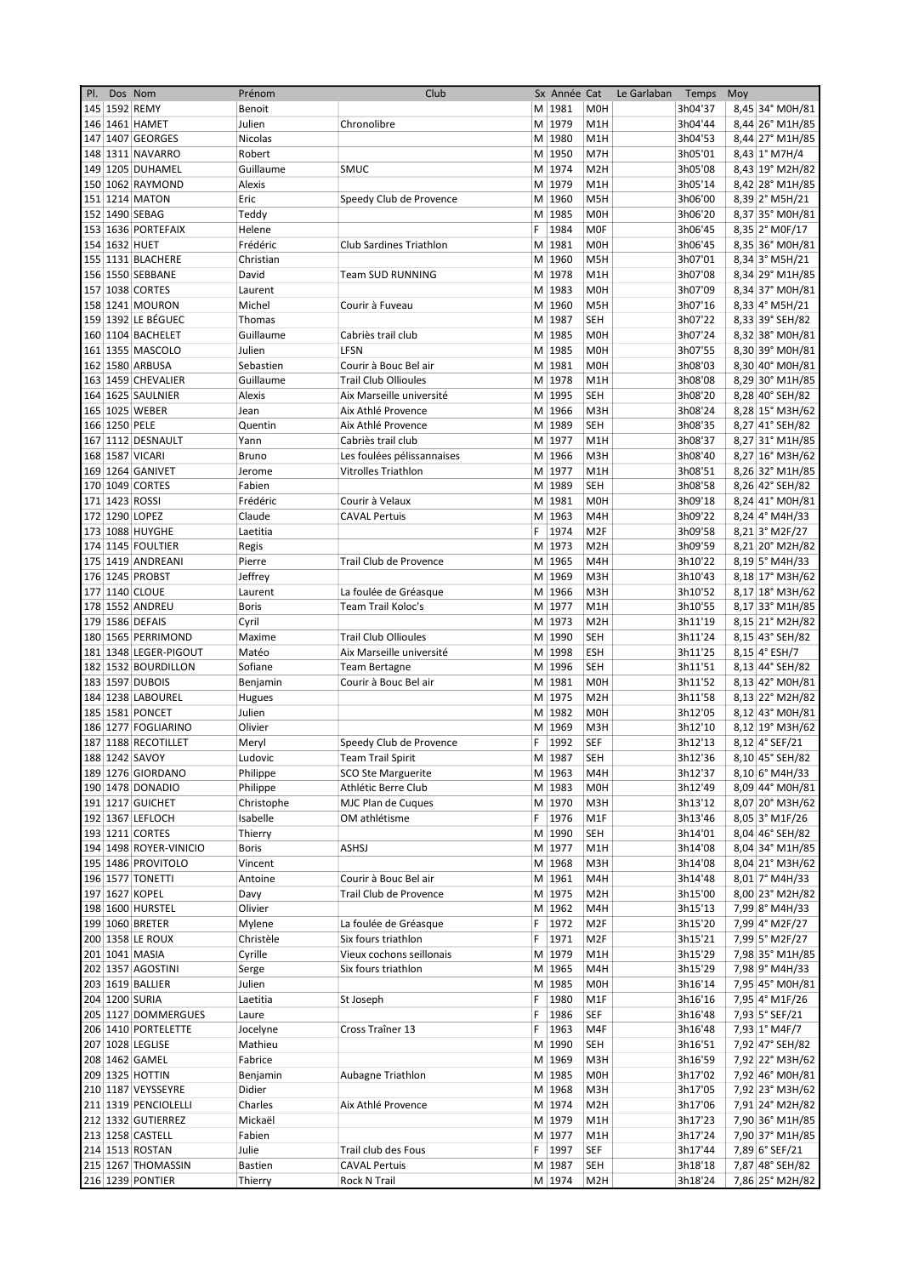| PI. |               | Dos Nom                | Prénom          | Club                        |    | Sx Année Cat |                  | Le Garlaban | Temps   | Moy |                  |
|-----|---------------|------------------------|-----------------|-----------------------------|----|--------------|------------------|-------------|---------|-----|------------------|
|     |               | 145 1592 REMY          | Benoit          |                             |    | M 1981       | <b>M0H</b>       |             | 3h04'37 |     | 8,45 34° M0H/81  |
|     |               | 146 1461 HAMET         | Julien          | Chronolibre                 |    | M 1979       | M <sub>1</sub> H |             | 3h04'44 |     | 8,44 26° M1H/85  |
|     |               | 147 1407 GEORGES       | Nicolas         |                             |    | M 1980       | M1H              |             | 3h04'53 |     | 8,44 27° M1H/85  |
|     |               | 148 1311 NAVARRO       | Robert          |                             |    | M 1950       | M7H              |             | 3h05'01 |     | 8,43 1° M7H/4    |
|     |               | 149 1205 DUHAMEL       | Guillaume       | <b>SMUC</b>                 |    | M 1974       | M <sub>2</sub> H |             | 3h05'08 |     | 8,43 19° M2H/82  |
|     |               | 150 1062 RAYMOND       | Alexis          |                             |    | M 1979       | M <sub>1</sub> H |             | 3h05'14 |     | 8,42 28° M1H/85  |
|     |               | 151 1214 MATON         | Eric            | Speedy Club de Provence     |    | M 1960       | M <sub>5</sub> H |             | 3h06'00 |     | 8,39 2° M5H/21   |
|     |               | 152 1490 SEBAG         | Teddy           |                             |    | M 1985       | <b>MOH</b>       |             | 3h06'20 |     | 8,37 35° M0H/81  |
|     |               | 153 1636 PORTEFAIX     | Helene          |                             | F  | 1984         | <b>MOF</b>       |             | 3h06'45 |     | 8,35 2° MOF/17   |
|     | 154 1632 HUET |                        | Frédéric        | Club Sardines Triathlon     |    | M 1981       | <b>M0H</b>       |             | 3h06'45 |     | 8,35 36° M0H/81  |
|     |               |                        |                 |                             |    |              |                  |             |         |     | 8,34 3° M5H/21   |
|     |               | 155 1131 BLACHERE      | Christian       |                             |    | M 1960       | M <sub>5</sub> H |             | 3h07'01 |     |                  |
|     |               | 156 1550 SEBBANE       | David           | <b>Team SUD RUNNING</b>     |    | M 1978       | M <sub>1</sub> H |             | 3h07'08 |     | 8,34 29° M1H/85  |
|     |               | 157 1038 CORTES        | Laurent         |                             |    | M 1983       | M <sub>OH</sub>  |             | 3h07'09 |     | 8,34 37° M0H/81  |
|     |               | 158 1241 MOURON        | Michel          | Courir à Fuveau             |    | M 1960       | M <sub>5</sub> H |             | 3h07'16 |     | 8,33 4° M5H/21   |
|     |               | 159 1392 LE BÉGUEC     | Thomas          |                             |    | M 1987       | SEH              |             | 3h07'22 |     | 8,33 39° SEH/82  |
|     |               | 160 1104 BACHELET      | Guillaume       | Cabriès trail club          |    | M 1985       | <b>M0H</b>       |             | 3h07'24 |     | 8,32 38° M0H/81  |
|     |               | 161 1355 MASCOLO       | Julien          | LFSN                        |    | M 1985       | <b>MOH</b>       |             | 3h07'55 |     | 8,30 39° M0H/81  |
|     |               | 162 1580 ARBUSA        | Sebastien       | Courir à Bouc Bel air       |    | M 1981       | M <sub>OH</sub>  |             | 3h08'03 |     | 8,30 40° M0H/81  |
|     |               | 163 1459 CHEVALIER     | Guillaume       | <b>Trail Club Ollioules</b> |    | M 1978       | M1H              |             | 3h08'08 |     | 8,29 30° M1H/85  |
|     |               | 164 1625 SAULNIER      | Alexis          | Aix Marseille université    |    | M 1995       | SEH              |             | 3h08'20 |     | 8,28 40° SEH/82  |
|     |               | 165 1025 WEBER         | Jean            | Aix Athlé Provence          |    | M 1966       | M <sub>3</sub> H |             | 3h08'24 |     | 8,28 15° M3H/62  |
|     | 166 1250 PELE |                        | Quentin         | Aix Athlé Provence          |    | M 1989       | <b>SEH</b>       |             | 3h08'35 |     | 8,27 41° SEH/82  |
|     |               | 167 1112 DESNAULT      | Yann            | Cabriès trail club          |    | M 1977       | M <sub>1</sub> H |             | 3h08'37 |     | 8,27 31° M1H/85  |
|     |               | 168 1587 VICARI        | Bruno           | Les foulées pélissannaises  |    | M 1966       | M3H              |             | 3h08'40 |     | 8,27 16° M3H/62  |
|     |               | 169 1264 GANIVET       | Jerome          | Vitrolles Triathlon         |    | M 1977       | M <sub>1</sub> H |             | 3h08'51 |     | 8,26 32° M1H/85  |
|     |               |                        |                 |                             |    |              |                  |             |         |     |                  |
|     |               | 170 1049 CORTES        | Fabien          |                             |    | M 1989       | SEH              |             | 3h08'58 |     | 8,26 42° SEH/82  |
|     |               | 171 1423 ROSSI         | Frédéric        | Courir à Velaux             |    | M 1981       | M <sub>OH</sub>  |             | 3h09'18 |     | 8,24 41° M0H/81  |
|     |               | 172 1290 LOPEZ         | Claude          | <b>CAVAL Pertuis</b>        |    | M 1963       | M4H              |             | 3h09'22 |     | 8,24 4° M4H/33   |
|     |               | 173 1088 HUYGHE        | Laetitia        |                             | F  | 1974         | M <sub>2F</sub>  |             | 3h09'58 |     | 8,21 3° M2F/27   |
|     |               | 174 1145 FOULTIER      | Regis           |                             |    | M 1973       | M <sub>2</sub> H |             | 3h09'59 |     | 8,21 20° M2H/82  |
|     |               | 175 1419 ANDREANI      | Pierre          | Trail Club de Provence      |    | M 1965       | M4H              |             | 3h10'22 |     | $8,19$ 5° M4H/33 |
|     |               | 176 1245 PROBST        | Jeffrey         |                             |    | M 1969       | M3H              |             | 3h10'43 |     | 8,18 17° M3H/62  |
|     |               | 177 1140 CLOUE         | Laurent         | La foulée de Gréasque       |    | M 1966       | M3H              |             | 3h10'52 |     | 8,17 18° M3H/62  |
|     |               | 178 1552 ANDREU        | <b>Boris</b>    | Team Trail Koloc's          |    | M 1977       | M1H              |             | 3h10'55 |     | 8,17 33° M1H/85  |
|     |               | 179 1586 DEFAIS        | Cyril           |                             |    | M 1973       | M <sub>2</sub> H |             | 3h11'19 |     | 8,15 21° M2H/82  |
|     |               | 180 1565 PERRIMOND     | Maxime          | <b>Trail Club Ollioules</b> |    | M 1990       | <b>SEH</b>       |             | 3h11'24 |     | 8,15 43° SEH/82  |
|     |               | 181 1348 LEGER-PIGOUT  | Matéo           | Aix Marseille université    |    | M 1998       | <b>ESH</b>       |             | 3h11'25 |     | $8,15$ 4° ESH/7  |
|     |               | 182 1532 BOURDILLON    | Sofiane         | <b>Team Bertagne</b>        |    | M 1996       | <b>SEH</b>       |             | 3h11'51 |     | 8,13 44° SEH/82  |
|     |               |                        |                 | Courir à Bouc Bel air       |    |              | M <sub>OH</sub>  |             |         |     | 8,13 42° M0H/81  |
|     |               | 183 1597 DUBOIS        | Benjamin        |                             |    | M 1981       |                  |             | 3h11'52 |     |                  |
|     |               | 184 1238 LABOUREL      | Hugues          |                             |    | M 1975       | M <sub>2</sub> H |             | 3h11'58 |     | 8,13 22° M2H/82  |
|     |               | 185 1581 PONCET        | Julien          |                             |    | M 1982       | <b>M0H</b>       |             | 3h12'05 |     | 8,12 43° M0H/81  |
|     |               | 186 1277 FOGLIARINO    | Olivier         |                             |    | M 1969       | M <sub>3</sub> H |             | 3h12'10 |     | 8,12 19° M3H/62  |
|     |               | 187 1188 RECOTILLET    | Meryl           | Speedy Club de Provence     | F  | 1992         | SEF              |             | 3h12'13 |     | 8,12 4° SEF/21   |
|     |               | 188 1242 SAVOY         | Ludovic         | <b>Team Trail Spirit</b>    |    | M 1987       | <b>SEH</b>       |             | 3h12'36 |     | 8,10 45° SEH/82  |
|     |               | 189 1276 GIORDANO      | Philippe        | <b>SCO Ste Marguerite</b>   |    | M 1963       | M4H              |             | 3h12'37 |     | 8,10 6° M4H/33   |
|     |               | 190 1478 DONADIO       | Philippe        | Athlétic Berre Club         |    | M 1983       | M0H              |             | 3h12'49 |     | 8,09 44° M0H/81  |
|     |               | 191 1217 GUICHET       | Christophe      | MJC Plan de Cuques          |    | M 1970       | M3H              |             | 3h13'12 |     | 8,07 20° M3H/62  |
|     |               | 192 1367 LEFLOCH       | Isabelle        | OM athlétisme               |    | F 1976       | M1F              |             | 3h13'46 |     | 8,05 3° M1F/26   |
|     |               | 193 1211 CORTES        | Thierry         |                             |    | M 1990       | SEH              |             | 3h14'01 |     | 8,04 46° SEH/82  |
|     |               | 194 1498 ROYER-VINICIO | <b>Boris</b>    | <b>ASHSJ</b>                |    | M 1977       | M1H              |             | 3h14'08 |     | 8,04 34° M1H/85  |
|     |               | 195 1486 PROVITOLO     | Vincent         |                             |    | M 1968       | M3H              |             | 3h14'08 |     | 8,04 21° M3H/62  |
|     |               | 196 1577 TONETTI       | Antoine         | Courir à Bouc Bel air       |    | M 1961       | M4H              |             | 3h14'48 |     | 8,01 7° M4H/33   |
|     |               | 197 1627 KOPEL         |                 | Trail Club de Provence      |    | M 1975       | M <sub>2</sub> H |             | 3h15'00 |     | 8,00 23° M2H/82  |
|     |               | 198 1600 HURSTEL       | Davy<br>Olivier |                             |    | M 1962       |                  |             | 3h15'13 |     |                  |
|     |               |                        |                 |                             |    |              | M4H              |             |         |     | 7,99 8° M4H/33   |
|     |               | 199 1060 BRETER        | Mylene          | La foulée de Gréasque       | F. | 1972         | M <sub>2F</sub>  |             | 3h15'20 |     | 7,99 4° M2F/27   |
|     |               | 200 1358 LE ROUX       | Christèle       | Six fours triathlon         | F  | 1971         | M <sub>2F</sub>  |             | 3h15'21 |     | 7,99 5° M2F/27   |
|     |               | 201 1041 MASIA         | Cyrille         | Vieux cochons seillonais    |    | M 1979       | M1H              |             | 3h15'29 |     | 7,98 35° M1H/85  |
|     |               | 202 1357 AGOSTINI      | Serge           | Six fours triathlon         |    | M 1965       | M4H              |             | 3h15'29 |     | 7,98 9° M4H/33   |
|     |               | 203 1619 BALLIER       | Julien          |                             |    | M 1985       | M0H              |             | 3h16'14 |     | 7,95 45° M0H/81  |
|     |               | 204 1200 SURIA         | Laetitia        | St Joseph                   | F  | 1980         | M1F              |             | 3h16'16 |     | 7,95 4° M1F/26   |
|     |               | 205 1127 DOMMERGUES    | Laure           |                             | F  | 1986         | SEF              |             | 3h16'48 |     | 7,93 5° SEF/21   |
|     |               | 206 1410 PORTELETTE    | Jocelyne        | Cross Traîner 13            | F  | 1963         | M4F              |             | 3h16'48 |     | 7,93 1° M4F/7    |
|     |               | 207 1028 LEGLISE       | Mathieu         |                             |    | M 1990       | SEH              |             | 3h16'51 |     | 7,92 47° SEH/82  |
|     |               | 208 1462 GAMEL         | Fabrice         |                             |    | M 1969       | M3H              |             | 3h16'59 |     | 7,92 22° M3H/62  |
|     |               | 209 1325 HOTTIN        | Benjamin        | Aubagne Triathlon           |    | M 1985       | M0H              |             | 3h17'02 |     | 7,92 46° M0H/81  |
|     |               | 210 1187 VEYSSEYRE     | Didier          |                             |    | M 1968       | M3H              |             | 3h17'05 |     | 7,92 23° M3H/62  |
|     |               | 211 1319 PENCIOLELLI   | Charles         | Aix Athlé Provence          |    | M 1974       | M <sub>2</sub> H |             | 3h17'06 |     | 7,91 24° M2H/82  |
|     |               | 212 1332 GUTIERREZ     | Mickaël         |                             |    | M 1979       | M1H              |             | 3h17'23 |     | 7,90 36° M1H/85  |
|     |               | 213 1258 CASTELL       | Fabien          |                             |    | M 1977       | M1H              |             | 3h17'24 |     | 7,90 37° M1H/85  |
|     |               |                        |                 |                             |    |              |                  |             |         |     |                  |
|     |               | 214 1513 ROSTAN        | Julie           | Trail club des Fous         | F. | 1997         | SEF              |             | 3h17'44 |     | 7,89 6° SEF/21   |
|     |               | 215 1267 THOMASSIN     | <b>Bastien</b>  | <b>CAVAL Pertuis</b>        |    | M 1987       | <b>SEH</b>       |             | 3h18'18 |     | 7,87 48° SEH/82  |
|     |               | 216 1239 PONTIER       | Thierry         | Rock N Trail                |    | M 1974       | M <sub>2</sub> H |             | 3h18'24 |     | 7,86 25° M2H/82  |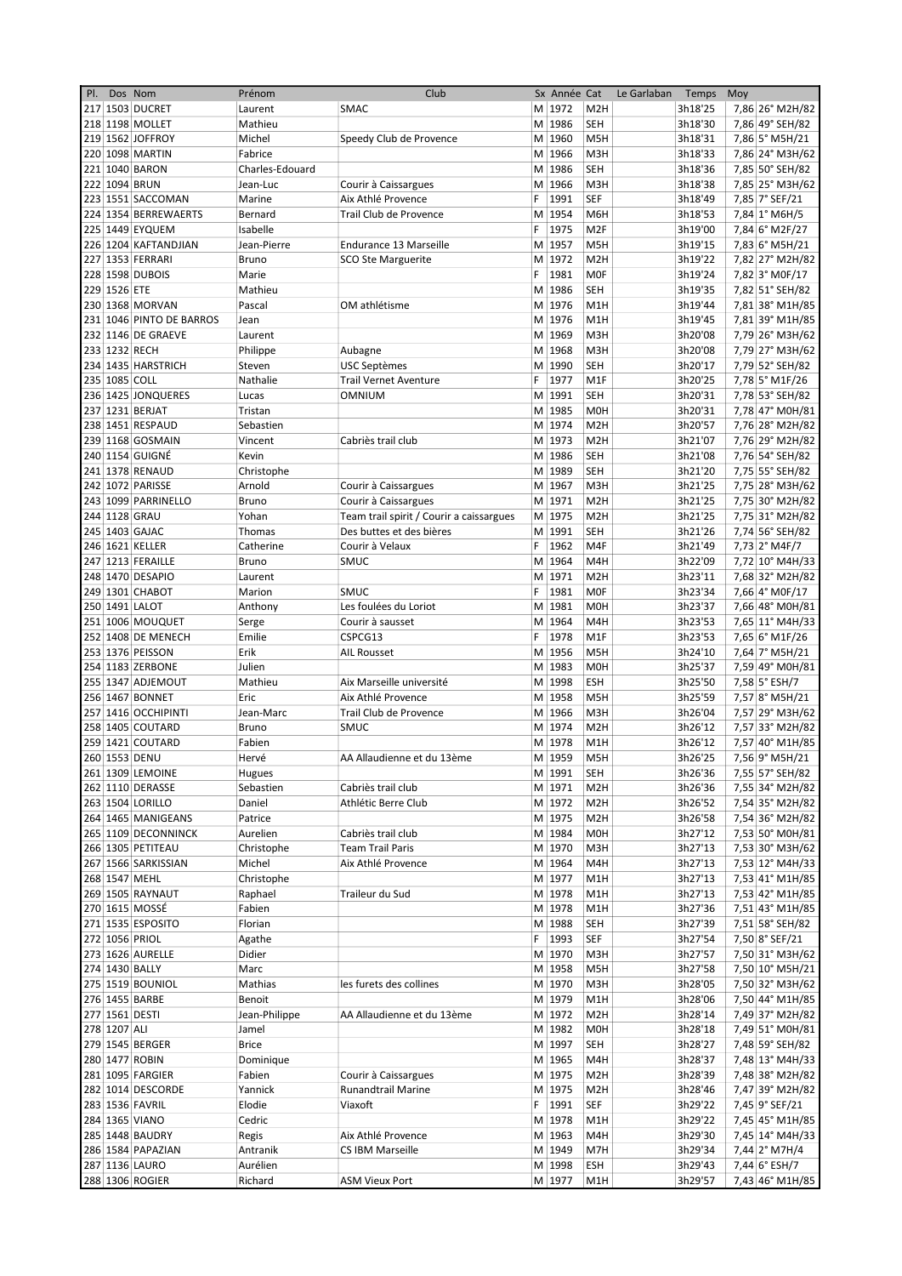| PI. | Dos Nom       |                          | Prénom          | Club                                     |   | Sx Année Cat |                  | Le Garlaban | Temps   | Moy |                 |
|-----|---------------|--------------------------|-----------------|------------------------------------------|---|--------------|------------------|-------------|---------|-----|-----------------|
|     |               | 217 1503 DUCRET          | Laurent         | SMAC                                     |   | M 1972       | M <sub>2</sub> H |             | 3h18'25 |     | 7,86 26° M2H/82 |
|     |               | 218 1198 MOLLET          | Mathieu         |                                          |   | M 1986       | <b>SEH</b>       |             | 3h18'30 |     | 7,86 49° SEH/82 |
|     |               | 219 1562 JOFFROY         | Michel          | Speedy Club de Provence                  |   | M 1960       | M <sub>5</sub> H |             | 3h18'31 |     | 7,86 5° M5H/21  |
|     |               | 220 1098 MARTIN          | Fabrice         |                                          |   | M 1966       | M3H              |             | 3h18'33 |     | 7,86 24° M3H/62 |
|     |               | 221 1040 BARON           | Charles-Edouard |                                          |   | M 1986       | <b>SEH</b>       |             | 3h18'36 |     | 7,85 50° SEH/82 |
|     |               | 222 1094 BRUN            | Jean-Luc        | Courir à Caissargues                     |   | M 1966       | M3H              |             | 3h18'38 |     | 7,85 25° M3H/62 |
|     |               | 223 1551 SACCOMAN        | Marine          | Aix Athlé Provence                       | F | 1991         | SEF              |             | 3h18'49 |     | 7,85 7° SEF/21  |
|     |               | 224 1354 BERREWAERTS     | Bernard         | Trail Club de Provence                   |   | M 1954       | M6H              |             | 3h18'53 |     | 7,84 1° M6H/5   |
|     |               | 225 1449 EYQUEM          | Isabelle        |                                          | F | 1975         | M <sub>2F</sub>  |             | 3h19'00 |     | 7,84 6° M2F/27  |
|     |               | 226 1204 KAFTANDJIAN     | Jean-Pierre     | Endurance 13 Marseille                   |   | M 1957       | M <sub>5</sub> H |             | 3h19'15 |     | 7,83 6° M5H/21  |
|     |               | 227 1353 FERRARI         | Bruno           | <b>SCO Ste Marguerite</b>                |   | M 1972       | M <sub>2</sub> H |             | 3h19'22 |     | 7,82 27° M2H/82 |
|     |               | 228 1598 DUBOIS          | Marie           |                                          | F | 1981         | <b>MOF</b>       |             | 3h19'24 |     | 7,82 3° M0F/17  |
|     | 229 1526 ETE  |                          | Mathieu         |                                          |   | M 1986       |                  |             |         |     |                 |
|     |               |                          |                 |                                          |   |              | SEH              |             | 3h19'35 |     | 7,82 51° SEH/82 |
|     |               | 230 1368 MORVAN          | Pascal          | OM athlétisme                            |   | M 1976       | M1H              |             | 3h19'44 |     | 7,81 38° M1H/85 |
|     |               | 231 1046 PINTO DE BARROS | Jean            |                                          |   | M 1976       | M1H              |             | 3h19'45 |     | 7,81 39° M1H/85 |
|     |               | 232 1146 DE GRAEVE       | Laurent         |                                          |   | M 1969       | M3H              |             | 3h20'08 |     | 7,79 26° M3H/62 |
|     |               | 233 1232 RECH            | Philippe        | Aubagne                                  |   | M 1968       | M3H              |             | 3h20'08 |     | 7,79 27° M3H/62 |
|     |               | 234 1435 HARSTRICH       | Steven          | <b>USC Septèmes</b>                      |   | M 1990       | <b>SEH</b>       |             | 3h20'17 |     | 7,79 52° SEH/82 |
|     | 235 1085 COLL |                          | Nathalie        | <b>Trail Vernet Aventure</b>             | F | 1977         | M <sub>1</sub> F |             | 3h20'25 |     | 7,78 5° M1F/26  |
|     |               | 236 1425 JONQUERES       | Lucas           | OMNIUM                                   |   | M 1991       | <b>SEH</b>       |             | 3h20'31 |     | 7,78 53° SEH/82 |
|     |               | 237 1231 BERJAT          | Tristan         |                                          |   | M 1985       | M <sub>O</sub> H |             | 3h20'31 |     | 7,78 47° M0H/81 |
|     |               | 238 1451 RESPAUD         | Sebastien       |                                          |   | M 1974       | M <sub>2</sub> H |             | 3h20'57 |     | 7,76 28° M2H/82 |
|     |               | 239 1168 GOSMAIN         | Vincent         | Cabriès trail club                       |   | M 1973       | M <sub>2</sub> H |             | 3h21'07 |     | 7,76 29° M2H/82 |
|     |               | 240 1154 GUIGNÉ          | Kevin           |                                          |   | M 1986       | SEH              |             | 3h21'08 |     | 7,76 54° SEH/82 |
|     |               | 241 1378 RENAUD          | Christophe      |                                          |   | M 1989       | <b>SEH</b>       |             | 3h21'20 |     | 7,75 55° SEH/82 |
|     |               | 242 1072 PARISSE         | Arnold          | Courir à Caissargues                     |   | M 1967       | M3H              |             | 3h21'25 |     | 7,75 28° M3H/62 |
|     |               | 243 1099 PARRINELLO      | Bruno           | Courir à Caissargues                     |   | M 1971       | M <sub>2</sub> H |             | 3h21'25 |     | 7,75 30° M2H/82 |
|     |               | 244 1128 GRAU            | Yohan           | Team trail spirit / Courir a caissargues |   | M 1975       | M <sub>2</sub> H |             | 3h21'25 |     | 7,75 31° M2H/82 |
|     |               | 245 1403 GAJAC           | Thomas          | Des buttes et des bières                 |   | M 1991       | SEH              |             | 3h21'26 |     |                 |
|     |               |                          |                 |                                          |   |              |                  |             |         |     | 7,74 56° SEH/82 |
|     |               | 246 1621 KELLER          | Catherine       | Courir à Velaux                          | F | 1962         | M4F              |             | 3h21'49 |     | 7,73 2° M4F/7   |
|     |               | 247 1213 FERAILLE        | Bruno           | <b>SMUC</b>                              |   | M 1964       | M4H              |             | 3h22'09 |     | 7,72 10° M4H/33 |
|     |               | 248 1470 DESAPIO         | Laurent         |                                          |   | M 1971       | M <sub>2</sub> H |             | 3h23'11 |     | 7,68 32° M2H/82 |
|     |               | 249 1301 CHABOT          | Marion          | SMUC                                     | F | 1981         | <b>MOF</b>       |             | 3h23'34 |     | 7,66 4° M0F/17  |
|     |               | 250 1491 LALOT           | Anthony         | Les foulées du Loriot                    |   | M 1981       | <b>M0H</b>       |             | 3h23'37 |     | 7,66 48° M0H/81 |
|     |               | 251 1006 MOUQUET         | Serge           | Courir à sausset                         |   | M 1964       | M4H              |             | 3h23'53 |     | 7,65 11° M4H/33 |
|     |               | 252 1408 DE MENECH       | Emilie          | CSPCG13                                  | F | 1978         | M <sub>1</sub> F |             | 3h23'53 |     | 7,65 6° M1F/26  |
|     |               | 253 1376 PEISSON         | Erik            | <b>AIL Rousset</b>                       |   | M 1956       | M <sub>5</sub> H |             | 3h24'10 |     | 7,64 7° M5H/21  |
|     |               | 254 1183 ZERBONE         | Julien          |                                          |   | M 1983       | <b>MOH</b>       |             | 3h25'37 |     | 7,59 49° M0H/81 |
|     |               | 255 1347 ADJEMOUT        | Mathieu         | Aix Marseille université                 |   | M 1998       | ESH              |             | 3h25'50 |     | 7,58 5° ESH/7   |
|     |               | 256 1467 BONNET          | Eric            | Aix Athlé Provence                       |   | M 1958       | M5H              |             | 3h25'59 |     | 7,57 8° M5H/21  |
|     |               | 257 1416 OCCHIPINTI      | Jean-Marc       | Trail Club de Provence                   |   | M 1966       | M3H              |             | 3h26'04 |     | 7,57 29° M3H/62 |
|     |               | 258 1405 COUTARD         | Bruno           | SMUC                                     |   | M 1974       | M <sub>2</sub> H |             | 3h26'12 |     | 7,57 33° M2H/82 |
|     |               | 259 1421 COUTARD         | Fabien          |                                          |   | M 1978       |                  |             | 3h26'12 |     | 7,57 40° M1H/85 |
|     |               |                          |                 |                                          |   | M 1959       | M1H              |             | 3h26'25 |     | 7,56 9° M5H/21  |
|     |               | 260 1553 DENU            | Hervé           | AA Allaudienne et du 13ème               |   |              | M5H              |             |         |     |                 |
|     |               | 261 1309 LEMOINE         | Hugues          |                                          |   | M 1991       | SEH              |             | 3h26'36 |     | 7,55 57° SEH/82 |
|     |               | 262 1110 DERASSE         | Sebastien       | Cabriès trail club                       |   | M 1971       | M <sub>2</sub> H |             | 3h26'36 |     | 7,55 34° M2H/82 |
|     |               | 263 1504 LORILLO         | Daniel          | Athlétic Berre Club                      |   | M 1972       | M <sub>2</sub> H |             | 3h26'52 |     | 7,54 35° M2H/82 |
|     |               | 264 1465 MANIGEANS       | Patrice         |                                          |   | M 1975       | M <sub>2</sub> H |             | 3h26'58 |     | 7,54 36° M2H/82 |
|     |               | 265 1109 DECONNINCK      | Aurelien        | Cabriès trail club                       |   | M 1984       | M0H              |             | 3h27'12 |     | 7,53 50° M0H/81 |
|     |               | 266 1305 PETITEAU        | Christophe      | <b>Team Trail Paris</b>                  |   | M 1970       | M3H              |             | 3h27'13 |     | 7,53 30° M3H/62 |
|     |               | 267 1566 SARKISSIAN      | Michel          | Aix Athlé Provence                       |   | M 1964       | M4H              |             | 3h27'13 |     | 7,53 12° M4H/33 |
|     |               | 268 1547 MEHL            | Christophe      |                                          |   | M 1977       | M1H              |             | 3h27'13 |     | 7,53 41° M1H/85 |
|     |               | 269 1505 RAYNAUT         | Raphael         | Traileur du Sud                          |   | M 1978       | M1H              |             | 3h27'13 |     | 7,53 42° M1H/85 |
|     |               | 270 1615 MOSSÉ           | Fabien          |                                          |   | M 1978       | M1H              |             | 3h27'36 |     | 7,51 43° M1H/85 |
|     |               | 271 1535 ESPOSITO        | Florian         |                                          |   | M 1988       | SEH              |             | 3h27'39 |     | 7,51 58° SEH/82 |
|     |               | 272 1056 PRIOL           | Agathe          |                                          |   | F 1993       | <b>SEF</b>       |             | 3h27'54 |     | 7,50 8° SEF/21  |
|     |               | 273 1626 AURELLE         | Didier          |                                          |   | M 1970       | M3H              |             | 3h27'57 |     | 7,50 31° M3H/62 |
|     |               | 274 1430 BALLY           | Marc            |                                          |   | M 1958       | M5H              |             | 3h27'58 |     | 7,50 10° M5H/21 |
|     |               | 275 1519 BOUNIOL         | Mathias         | les furets des collines                  |   | M 1970       | M3H              |             | 3h28'05 |     | 7,50 32° M3H/62 |
|     |               | 276 1455 BARBE           | Benoit          |                                          |   | M 1979       | M1H              |             | 3h28'06 |     | 7,50 44° M1H/85 |
|     |               | 277 1561 DESTI           | Jean-Philippe   | AA Allaudienne et du 13ème               |   | M 1972       | M <sub>2</sub> H |             | 3h28'14 |     | 7,49 37° M2H/82 |
|     | 278 1207 ALI  |                          |                 |                                          |   | M 1982       |                  |             |         |     |                 |
|     |               |                          | Jamel           |                                          |   |              | M0H              |             | 3h28'18 |     | 7,49 51° M0H/81 |
|     |               | 279 1545 BERGER          | <b>Brice</b>    |                                          |   | M 1997       | SEH              |             | 3h28'27 |     | 7,48 59° SEH/82 |
|     |               | 280 1477 ROBIN           | Dominique       |                                          |   | M 1965       | M4H              |             | 3h28'37 |     | 7,48 13° M4H/33 |
|     |               | 281 1095 FARGIER         | Fabien          | Courir à Caissargues                     |   | M 1975       | M <sub>2</sub> H |             | 3h28'39 |     | 7,48 38° M2H/82 |
|     |               | 282 1014 DESCORDE        | Yannick         | Runandtrail Marine                       |   | M 1975       | M <sub>2</sub> H |             | 3h28'46 |     | 7,47 39° M2H/82 |
|     |               | 283 1536 FAVRIL          | Elodie          | Viaxoft                                  |   | F 1991       | SEF              |             | 3h29'22 |     | 7,45 9° SEF/21  |
|     |               | 284 1365 VIANO           | Cedric          |                                          |   | M 1978       | M1H              |             | 3h29'22 |     | 7,45 45° M1H/85 |
|     |               | 285 1448 BAUDRY          | Regis           | Aix Athlé Provence                       |   | M 1963       | M4H              |             | 3h29'30 |     | 7,45 14° M4H/33 |
|     |               | 286 1584 PAPAZIAN        | Antranik        | <b>CS IBM Marseille</b>                  |   | M 1949       | M7H              |             | 3h29'34 |     | 7,44 2° M7H/4   |
|     |               | 287 1136 LAURO           | Aurélien        |                                          |   | M 1998       | ESH              |             | 3h29'43 |     | 7,44 6° ESH/7   |
|     |               | 288 1306 ROGIER          | Richard         | <b>ASM Vieux Port</b>                    |   | M 1977       | M1H              |             | 3h29'57 |     | 7,43 46° M1H/85 |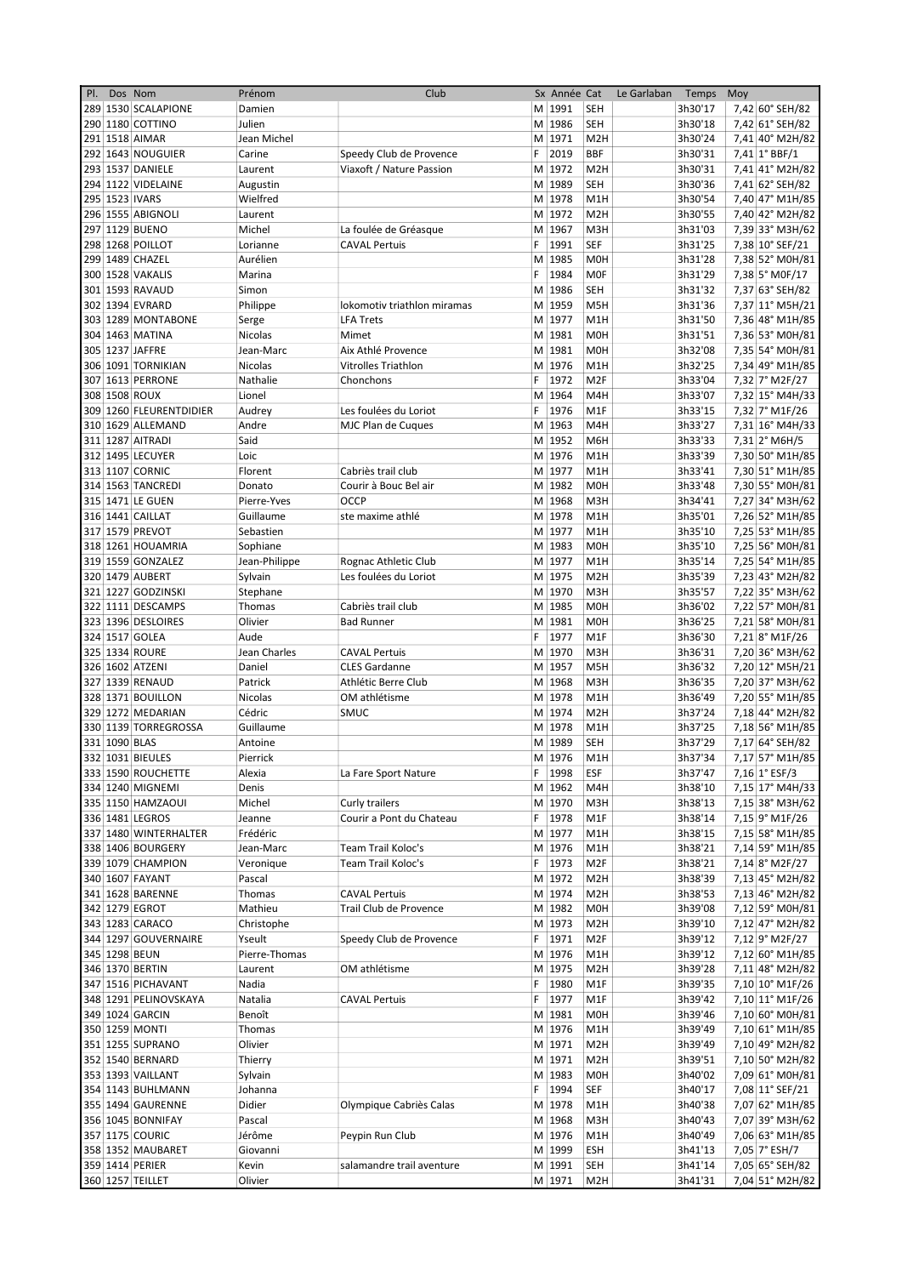| PI. | Dos Nom       |                         | Prénom        | Club                        |    | Sx Année Cat |                  | Le Garlaban | Temps   | Moy |                        |
|-----|---------------|-------------------------|---------------|-----------------------------|----|--------------|------------------|-------------|---------|-----|------------------------|
|     |               | 289 1530 SCALAPIONE     | Damien        |                             |    | M 1991       | <b>SEH</b>       |             | 3h30'17 |     | 7,42 60° SEH/82        |
|     |               | 290 1180 COTTINO        | Julien        |                             |    | M 1986       | <b>SEH</b>       |             | 3h30'18 |     | 7,42 61° SEH/82        |
|     |               | 291 1518 AIMAR          | Jean Michel   |                             |    | M 1971       | M <sub>2</sub> H |             | 3h30'24 |     | 7,41 40° M2H/82        |
|     |               | 292 1643 NOUGUIER       | Carine        | Speedy Club de Provence     | F  | 2019         | <b>BBF</b>       |             | 3h30'31 |     | $7,41$ 1° BBF/1        |
|     |               | 293 1537 DANIELE        | Laurent       | Viaxoft / Nature Passion    |    | M 1972       | M <sub>2</sub> H |             | 3h30'31 |     | 7,41 41° M2H/82        |
|     |               | 294 1122 VIDELAINE      | Augustin      |                             |    | M 1989       | <b>SEH</b>       |             | 3h30'36 |     | 7,41 62° SEH/82        |
|     |               | 295 1523 IVARS          | Wielfred      |                             |    | M 1978       | M <sub>1</sub> H |             | 3h30'54 |     | 7,40 47° M1H/85        |
|     |               | 296 1555 ABIGNOLI       | Laurent       |                             |    | M 1972       | M <sub>2</sub> H |             | 3h30'55 |     | 7,40 42° M2H/82        |
|     |               | 297 1129 BUENO          | Michel        | La foulée de Gréasque       |    | M 1967       | M <sub>3</sub> H |             | 3h31'03 |     | 7,39 33° M3H/62        |
|     |               | 298 1268 POILLOT        | Lorianne      | <b>CAVAL Pertuis</b>        | F  | 1991         | <b>SEF</b>       |             | 3h31'25 |     | 7,38 10° SEF/21        |
|     |               | 299 1489 CHAZEL         | Aurélien      |                             |    | M 1985       | M <sub>OH</sub>  |             | 3h31'28 |     | 7,38 52° M0H/81        |
|     |               | 300 1528 VAKALIS        | Marina        |                             | F  | 1984         | <b>MOF</b>       |             |         |     |                        |
|     |               |                         |               |                             |    |              |                  |             | 3h31'29 |     | 7,38 5° M0F/17         |
|     |               | 301 1593 RAVAUD         | Simon         |                             |    | M 1986       | SEH              |             | 3h31'32 |     | 7,37 63° SEH/82        |
|     |               | 302 1394 EVRARD         | Philippe      | lokomotiv triathlon miramas |    | M 1959       | M <sub>5</sub> H |             | 3h31'36 |     | 7,37 11° M5H/21        |
|     |               | 303 1289 MONTABONE      | Serge         | <b>LFA Trets</b>            |    | M 1977       | M <sub>1</sub> H |             | 3h31'50 |     | 7,36 48° M1H/85        |
|     |               | 304 1463 MATINA         | Nicolas       | Mimet                       |    | M 1981       | <b>MOH</b>       |             | 3h31'51 |     | 7,36 53° M0H/81        |
|     |               | 305 1237 JAFFRE         | Jean-Marc     | Aix Athlé Provence          |    | M 1981       | <b>MOH</b>       |             | 3h32'08 |     | 7,35 54° M0H/81        |
|     |               | 306 1091 TORNIKIAN      | Nicolas       | Vitrolles Triathlon         |    | M 1976       | M <sub>1</sub> H |             | 3h32'25 |     | 7,34 49° M1H/85        |
|     |               | 307 1613 PERRONE        | Nathalie      | Chonchons                   | F  | 1972         | M <sub>2F</sub>  |             | 3h33'04 |     | 7,32 7° M2F/27         |
|     |               | 308 1508 ROUX           | Lionel        |                             |    | M 1964       | M4H              |             | 3h33'07 |     | 7,32 15° M4H/33        |
|     |               | 309 1260 FLEURENTDIDIER | Audrey        | Les foulées du Loriot       | F  | 1976         | M <sub>1</sub> F |             | 3h33'15 |     | 7,32 7° M1F/26         |
|     |               | 310 1629 ALLEMAND       | Andre         | MJC Plan de Cuques          |    | M 1963       | M4H              |             | 3h33'27 |     | 7,31 16° M4H/33        |
|     |               | 311 1287 AITRADI        | Said          |                             |    | M 1952       | M6H              |             | 3h33'33 |     | 7,31 2° M6H/5          |
|     |               | 312 1495 LECUYER        | Loic          |                             |    | M 1976       | M <sub>1</sub> H |             | 3h33'39 |     | 7,30 50° M1H/85        |
|     |               | 313 1107 CORNIC         | Florent       | Cabriès trail club          |    | M 1977       | M <sub>1</sub> H |             | 3h33'41 |     | 7,30 51° M1H/85        |
|     |               | 314 1563 TANCREDI       | Donato        | Courir à Bouc Bel air       |    | M 1982       | <b>MOH</b>       |             | 3h33'48 |     | 7,30 55° M0H/81        |
|     |               |                         | Pierre-Yves   | <b>OCCP</b>                 |    | M 1968       |                  |             |         |     | 7,27 34° M3H/62        |
|     |               | 315 1471 LE GUEN        |               |                             |    |              | M3H              |             | 3h34'41 |     |                        |
|     |               | 316 1441 CAILLAT        | Guillaume     | ste maxime athlé            |    | M 1978       | M <sub>1</sub> H |             | 3h35'01 |     | 7,26 52° M1H/85        |
|     |               | 317 1579 PREVOT         | Sebastien     |                             |    | M 1977       | M <sub>1</sub> H |             | 3h35'10 |     | 7,25 53° M1H/85        |
|     |               | 318 1261 HOUAMRIA       | Sophiane      |                             |    | M 1983       | M <sub>OH</sub>  |             | 3h35'10 |     | 7,25 56° M0H/81        |
|     |               | 319 1559 GONZALEZ       | Jean-Philippe | Rognac Athletic Club        |    | M 1977       | M <sub>1</sub> H |             | 3h35'14 |     | 7,25 54° M1H/85        |
|     |               | 320 1479 AUBERT         | Sylvain       | Les foulées du Loriot       |    | M 1975       | M <sub>2</sub> H |             | 3h35'39 |     | 7,23 43° M2H/82        |
|     |               | 321 1227 GODZINSKI      | Stephane      |                             |    | M 1970       | M3H              |             | 3h35'57 |     | 7,22 35° M3H/62        |
|     |               | 322 1111 DESCAMPS       | Thomas        | Cabriès trail club          |    | M 1985       | <b>M0H</b>       |             | 3h36'02 |     | 7,22 57° M0H/81        |
|     |               | 323 1396 DESLOIRES      | Olivier       | <b>Bad Runner</b>           |    | M 1981       | <b>MOH</b>       |             | 3h36'25 |     | 7,21 58° M0H/81        |
|     |               | 324 1517 GOLEA          | Aude          |                             | F  | 1977         | M <sub>1</sub> F |             | 3h36'30 |     | 7,21 8° M1F/26         |
|     |               | 325 1334 ROURE          | Jean Charles  | <b>CAVAL Pertuis</b>        |    | M 1970       | M <sub>3</sub> H |             | 3h36'31 |     | 7,20 36° M3H/62        |
|     |               | 326 1602 ATZENI         | Daniel        | <b>CLES Gardanne</b>        |    | M 1957       | M <sub>5</sub> H |             | 3h36'32 |     | 7,20 12° M5H/21        |
|     |               | 327 1339 RENAUD         | Patrick       | Athlétic Berre Club         |    | M 1968       | M3H              |             | 3h36'35 |     | 7,20 37° M3H/62        |
|     |               | 328 1371 BOUILLON       | Nicolas       | OM athlétisme               |    | M 1978       | M <sub>1</sub> H |             | 3h36'49 |     | 7,20 55° M1H/85        |
|     |               |                         |               |                             |    |              |                  |             |         |     |                        |
|     |               | 329 1272 MEDARIAN       | Cédric        | <b>SMUC</b>                 |    | M 1974       | M <sub>2</sub> H |             | 3h37'24 |     | 7,18 44° M2H/82        |
|     |               | 330 1139 TORREGROSSA    | Guillaume     |                             |    | M 1978       | M <sub>1</sub> H |             | 3h37'25 |     | 7,18 56° M1H/85        |
|     | 331 1090 BLAS |                         | Antoine       |                             |    | M 1989       | <b>SEH</b>       |             | 3h37'29 |     | 7,17 64° SEH/82        |
|     |               | 332 1031 BIEULES        | Pierrick      |                             |    | M 1976       | M <sub>1</sub> H |             | 3h37'34 |     | 7,17 57° M1H/85        |
|     |               | 333 1590 ROUCHETTE      | Alexia        | La Fare Sport Nature        | F. | 1998         | ESF              |             | 3h37'47 |     | 7,16 $1^{\circ}$ ESF/3 |
|     |               | 334 1240 MIGNEMI        | Denis         |                             |    | M 1962       | M4H              |             | 3h38'10 |     | 7,15 17° M4H/33        |
|     |               | 335 1150 HAMZAOUI       | Michel        | Curly trailers              |    | M 1970       | M3H              |             | 3h38'13 |     | 7,15 38° M3H/62        |
|     |               | 336 1481 LEGROS         | Jeanne        | Courir a Pont du Chateau    |    | F 1978       | M1F              |             | 3h38'14 |     | 7,15 9° M1F/26         |
|     |               | 337 1480 WINTERHALTER   | Frédéric      |                             |    | M 1977       | M1H              |             | 3h38'15 |     | 7,15 58° M1H/85        |
|     |               | 338 1406 BOURGERY       | Jean-Marc     | Team Trail Koloc's          |    | M 1976       | M1H              |             | 3h38'21 |     | 7,14 59° M1H/85        |
|     |               | 339 1079 CHAMPION       | Veronique     | Team Trail Koloc's          |    | F 1973       | M <sub>2F</sub>  |             | 3h38'21 |     | 7,14 8° M2F/27         |
|     |               | 340 1607 FAYANT         | Pascal        |                             |    | M 1972       | M <sub>2</sub> H |             | 3h38'39 |     | 7,13 45° M2H/82        |
|     |               | 341 1628 BARENNE        | Thomas        | <b>CAVAL Pertuis</b>        |    | M 1974       | M <sub>2</sub> H |             | 3h38'53 |     | 7,13 46° M2H/82        |
|     |               | 342 1279 EGROT          | Mathieu       | Trail Club de Provence      |    | M 1982       | M0H              |             | 3h39'08 |     | 7,12 59° M0H/81        |
|     |               | 343 1283 CARACO         |               |                             |    | M 1973       |                  |             | 3h39'10 |     |                        |
|     |               |                         | Christophe    |                             |    |              | M <sub>2</sub> H |             |         |     | 7,12 47° M2H/82        |
|     |               | 344 1297 GOUVERNAIRE    | Yseult        | Speedy Club de Provence     |    | F 1971       | M <sub>2F</sub>  |             | 3h39'12 |     | 7,12 9° M2F/27         |
|     |               | 345 1298 BEUN           | Pierre-Thomas |                             |    | M 1976       | M1H              |             | 3h39'12 |     | 7,12 60° M1H/85        |
|     |               | 346 1370 BERTIN         | Laurent       | OM athlétisme               |    | M 1975       | M <sub>2</sub> H |             | 3h39'28 |     | 7,11 48° M2H/82        |
|     |               | 347 1516 PICHAVANT      | Nadia         |                             | F  | 1980         | M1F              |             | 3h39'35 |     | 7,10 10° M1F/26        |
|     |               | 348 1291 PELINOVSKAYA   | Natalia       | <b>CAVAL Pertuis</b>        |    | F 1977       | M1F              |             | 3h39'42 |     | 7,10 11° M1F/26        |
|     |               | 349 1024 GARCIN         | Benoît        |                             |    | M 1981       | M0H              |             | 3h39'46 |     | 7,10 60° M0H/81        |
|     |               | 350 1259 MONTI          | Thomas        |                             |    | M 1976       | M1H              |             | 3h39'49 |     | 7,10 61° M1H/85        |
|     |               | 351 1255 SUPRANO        | Olivier       |                             |    | M 1971       | M <sub>2</sub> H |             | 3h39'49 |     | 7,10 49° M2H/82        |
|     |               | 352 1540 BERNARD        | Thierry       |                             |    | M 1971       | M <sub>2</sub> H |             | 3h39'51 |     | 7,10 50° M2H/82        |
|     |               | 353 1393 VAILLANT       | Sylvain       |                             |    | M 1983       | M0H              |             | 3h40'02 |     | 7,09 61° M0H/81        |
|     |               | 354 1143 BUHLMANN       | Johanna       |                             |    | F 1994       | <b>SEF</b>       |             | 3h40'17 |     | 7,08 11° SEF/21        |
|     |               | 355 1494 GAURENNE       | Didier        | Olympique Cabriès Calas     |    | M 1978       | M1H              |             | 3h40'38 |     | 7,07 62° M1H/85        |
|     |               | 356 1045 BONNIFAY       | Pascal        |                             |    | M 1968       | M3H              |             | 3h40'43 |     | 7,07 39° M3H/62        |
|     |               | 357 1175 COURIC         | Jérôme        | Peypin Run Club             |    | M 1976       | M1H              |             | 3h40'49 |     | 7,06 63° M1H/85        |
|     |               |                         |               |                             |    | M 1999       |                  |             |         |     | 7,05 7° ESH/7          |
|     |               | 358 1352 MAUBARET       | Giovanni      |                             |    |              | ESH              |             | 3h41'13 |     |                        |
|     |               | 359 1414 PERIER         | Kevin         | salamandre trail aventure   |    | M 1991       | <b>SEH</b>       |             | 3h41'14 |     | 7,05 65° SEH/82        |
|     |               | 360 1257 TEILLET        | Olivier       |                             |    | M 1971       | M <sub>2</sub> H |             | 3h41'31 |     | 7,04 51° M2H/82        |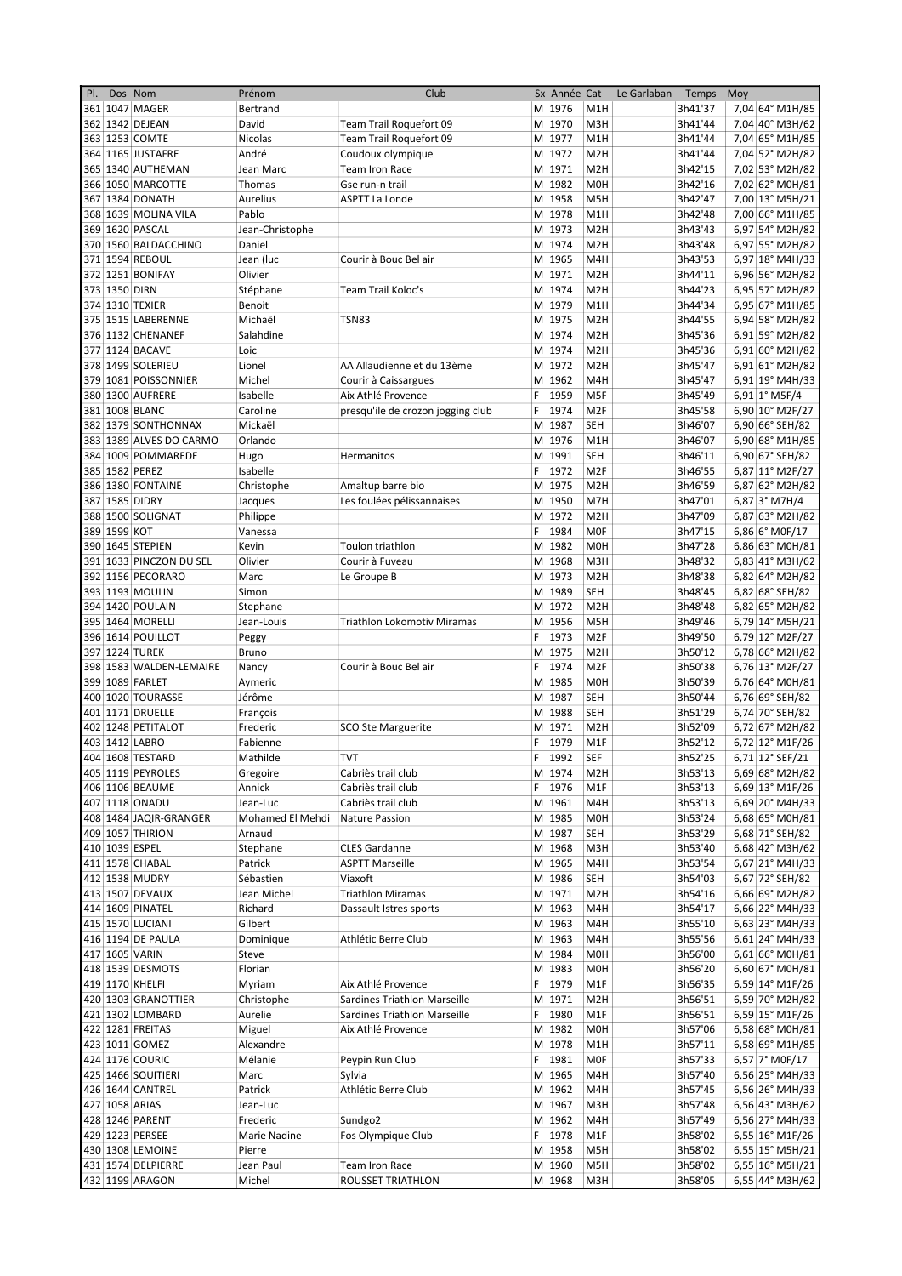| PI. | Dos Nom       |                         | Prénom           | Club                              |    | Sx Année Cat |                  | Le Garlaban | Temps   | Moy |                 |
|-----|---------------|-------------------------|------------------|-----------------------------------|----|--------------|------------------|-------------|---------|-----|-----------------|
|     |               | 361 1047 MAGER          | Bertrand         |                                   |    | M 1976       | M <sub>1</sub> H |             | 3h41'37 |     | 7,04 64° M1H/85 |
|     |               | 362 1342 DEJEAN         | David            | Team Trail Roquefort 09           |    | M 1970       | M3H              |             | 3h41'44 |     | 7,04 40° M3H/62 |
|     |               | 363 1253 COMTE          | Nicolas          | Team Trail Roquefort 09           |    | M 1977       | M <sub>1</sub> H |             | 3h41'44 |     | 7,04 65° M1H/85 |
|     |               | 364 1165 JUSTAFRE       | André            | Coudoux olympique                 |    | M 1972       | M <sub>2</sub> H |             | 3h41'44 |     | 7,04 52° M2H/82 |
| 365 |               | 1340 AUTHEMAN           | Jean Marc        | Team Iron Race                    |    | M 1971       | M <sub>2</sub> H |             | 3h42'15 |     | 7,02 53° M2H/82 |
|     |               | 366 1050 MARCOTTE       | Thomas           | Gse run-n trail                   |    | M 1982       | M <sub>OH</sub>  |             | 3h42'16 |     | 7,02 62° M0H/81 |
|     |               | 367 1384 DONATH         | Aurelius         | <b>ASPTT La Londe</b>             |    | M 1958       | M <sub>5</sub> H |             | 3h42'47 |     | 7,00 13° M5H/21 |
|     |               | 368 1639 MOLINA VILA    | Pablo            |                                   |    | M 1978       | M1H              |             | 3h42'48 |     | 7,00 66° M1H/85 |
|     |               | 369 1620 PASCAL         | Jean-Christophe  |                                   |    | M 1973       | M <sub>2</sub> H |             | 3h43'43 |     | 6,97 54° M2H/82 |
|     |               | 370 1560 BALDACCHINO    | Daniel           |                                   |    | M 1974       | M <sub>2</sub> H |             | 3h43'48 |     | 6,97 55° M2H/82 |
|     |               | 371 1594 REBOUL         | Jean (luc        | Courir à Bouc Bel air             |    | M 1965       | M4H              |             | 3h43'53 |     | 6,97 18° M4H/33 |
|     |               | 372 1251 BONIFAY        | Olivier          |                                   |    | M 1971       | M <sub>2</sub> H |             | 3h44'11 |     | 6,96 56° M2H/82 |
|     | 373 1350 DIRN |                         | Stéphane         | Team Trail Koloc's                |    | M 1974       | M <sub>2</sub> H |             | 3h44'23 |     | 6,95 57° M2H/82 |
|     |               | 374 1310 TEXIER         | Benoit           |                                   |    | M 1979       | M <sub>1</sub> H |             | 3h44'34 |     | 6,95 67° M1H/85 |
|     |               | 375 1515 LABERENNE      | Michaël          | TSN83                             |    | M 1975       | M <sub>2</sub> H |             | 3h44'55 |     | 6,94 58° M2H/82 |
|     |               | 376 1132 CHENANEF       | Salahdine        |                                   |    | M 1974       | M <sub>2</sub> H |             | 3h45'36 |     | 6,91 59° M2H/82 |
|     |               | 377 1124 BACAVE         | Loic             |                                   |    | M 1974       | M <sub>2</sub> H |             | 3h45'36 |     | 6,91 60° M2H/82 |
|     |               | 378 1499 SOLERIEU       | Lionel           | AA Allaudienne et du 13ème        |    | M 1972       | M <sub>2</sub> H |             | 3h45'47 |     | 6,91 61° M2H/82 |
| 379 |               | 1081 POISSONNIER        | Michel           | Courir à Caissargues              |    | M 1962       | M4H              |             | 3h45'47 |     | 6,91 19° M4H/33 |
|     |               | 380 1300 AUFRERE        | Isabelle         | Aix Athlé Provence                | F  | 1959         | M5F              |             | 3h45'49 |     | 6,91 1° M5F/4   |
|     |               | 381 1008 BLANC          | Caroline         | presqu'ile de crozon jogging club | F  | 1974         | M <sub>2F</sub>  |             | 3h45'58 |     | 6,90 10° M2F/27 |
|     |               | 382 1379 SONTHONNAX     | Mickaël          |                                   |    | M 1987       | <b>SEH</b>       |             | 3h46'07 |     | 6,90 66° SEH/82 |
|     |               | 383 1389 ALVES DO CARMO | Orlando          |                                   |    | M 1976       | M1H              |             | 3h46'07 |     | 6,90 68° M1H/85 |
|     |               | 384 1009 POMMAREDE      | Hugo             | Hermanitos                        |    | M 1991       | <b>SEH</b>       |             | 3h46'11 |     | 6,90 67° SEH/82 |
|     |               | 385 1582 PEREZ          | Isabelle         |                                   | F. | 1972         | M <sub>2F</sub>  |             | 3h46'55 |     | 6,87 11° M2F/27 |
|     |               | 386 1380 FONTAINE       | Christophe       | Amaltup barre bio                 |    | M 1975       | M <sub>2</sub> H |             | 3h46'59 |     | 6,87 62° M2H/82 |
|     |               | 387 1585 DIDRY          | Jacques          | Les foulées pélissannaises        |    | M 1950       | M7H              |             | 3h47'01 |     | $6,87$ 3° M7H/4 |
|     |               | 388 1500 SOLIGNAT       |                  |                                   |    | M 1972       | M <sub>2</sub> H |             | 3h47'09 |     | 6,87 63° M2H/82 |
|     | 389 1599 KOT  |                         | Philippe         |                                   | F. | 1984         | <b>MOF</b>       |             | 3h47'15 |     | 6,86 6° M0F/17  |
|     |               |                         | Vanessa          |                                   |    |              |                  |             |         |     |                 |
|     |               | 390 1645 STEPIEN        | Kevin            | Toulon triathlon                  |    | M 1982       | M <sub>OH</sub>  |             | 3h47'28 |     | 6,86 63° M0H/81 |
|     |               | 391 1633 PINCZON DU SEL | Olivier          | Courir à Fuveau                   |    | M 1968       | M3H              |             | 3h48'32 |     | 6,83 41° M3H/62 |
|     |               | 392 1156 PECORARO       | Marc             | Le Groupe B                       |    | M 1973       | M <sub>2</sub> H |             | 3h48'38 |     | 6,82 64° M2H/82 |
|     |               | 393   1193   MOULIN     | Simon            |                                   |    | M 1989       | <b>SEH</b>       |             | 3h48'45 |     | 6,82 68° SEH/82 |
|     |               | 394 1420 POULAIN        | Stephane         |                                   |    | M 1972       | M <sub>2</sub> H |             | 3h48'48 |     | 6,82 65° M2H/82 |
|     |               | 395 1464 MORELLI        | Jean-Louis       | Triathlon Lokomotiv Miramas       |    | M 1956       | M <sub>5</sub> H |             | 3h49'46 |     | 6,79 14° M5H/21 |
|     |               | 396 1614 POUILLOT       | Peggy            |                                   | F  | 1973         | M <sub>2F</sub>  |             | 3h49'50 |     | 6,79 12° M2F/27 |
|     |               | 397 1224 TUREK          | <b>Bruno</b>     |                                   |    | M 1975       | M <sub>2</sub> H |             | 3h50'12 |     | 6,78 66° M2H/82 |
|     |               | 398 1583 WALDEN-LEMAIRE | Nancy            | Courir à Bouc Bel air             | F  | 1974         | M <sub>2F</sub>  |             | 3h50'38 |     | 6,76 13° M2F/27 |
|     |               | 399 1089 FARLET         | Aymeric          |                                   |    | M 1985       | M <sub>OH</sub>  |             | 3h50'39 |     | 6,76 64° M0H/81 |
|     |               | 400 1020 TOURASSE       | Jérôme           |                                   |    | M 1987       | <b>SEH</b>       |             | 3h50'44 |     | 6,76 69° SEH/82 |
|     |               | 401 1171 DRUELLE        | François         |                                   |    | M 1988       | SEH              |             | 3h51'29 |     | 6,74 70° SEH/82 |
|     |               | 402 1248 PETITALOT      | Frederic         | <b>SCO Ste Marguerite</b>         |    | M 1971       | M <sub>2</sub> H |             | 3h52'09 |     | 6,72 67° M2H/82 |
|     |               | 403 1412 LABRO          | Fabienne         |                                   | F  | 1979         | M <sub>1</sub> F |             | 3h52'12 |     | 6,72 12° M1F/26 |
|     |               | 404 1608 TESTARD        | Mathilde         | <b>TVT</b>                        | F  | 1992         | SEF              |             | 3h52'25 |     | 6,71 12° SEF/21 |
|     |               | 405 1119 PEYROLES       | Gregoire         | Cabriès trail club                |    | M 1974       | M <sub>2</sub> H |             | 3h53'13 |     | 6,69 68° M2H/82 |
|     |               | 406 1106 BEAUME         | Annick           | Cabriès trail club                |    | F 1976       | M1F              |             | 3h53'13 |     | 6,69 13° M1F/26 |
|     |               | 407 1118 ONADU          | Jean-Luc         | Cabriès trail club                |    | M 1961       | M4H              |             | 3h53'13 |     | 6,69 20° M4H/33 |
|     |               | 408 1484 JAQIR-GRANGER  | Mohamed El Mehdi | Nature Passion                    |    | M 1985       | M0H              |             | 3h53'24 |     | 6,68 65° M0H/81 |
|     |               | 409 1057 THIRION        | Arnaud           |                                   |    | M 1987       | SEH              |             | 3h53'29 |     | 6,68 71° SEH/82 |
|     |               | 410 1039 ESPEL          | Stephane         | <b>CLES Gardanne</b>              |    | M 1968       | M3H              |             | 3h53'40 |     | 6,68 42° M3H/62 |
|     |               | 411 1578 CHABAL         | Patrick          | <b>ASPTT Marseille</b>            |    | M 1965       | M4H              |             | 3h53'54 |     | 6,67 21° M4H/33 |
|     |               | 412 1538 MUDRY          | Sébastien        | Viaxoft                           |    | M 1986       | SEH              |             | 3h54'03 |     | 6,67 72° SEH/82 |
|     |               | 413 1507 DEVAUX         | Jean Michel      | Triathlon Miramas                 |    | M 1971       | M <sub>2</sub> H |             | 3h54'16 |     | 6,66 69° M2H/82 |
|     |               | 414 1609 PINATEL        | Richard          | Dassault Istres sports            |    | M 1963       | M4H              |             | 3h54'17 |     | 6,66 22° M4H/33 |
|     |               | 415 1570 LUCIANI        | Gilbert          |                                   |    | M 1963       | M4H              |             | 3h55'10 |     | 6,63 23° M4H/33 |
|     |               | 416 1194 DE PAULA       | Dominique        | Athlétic Berre Club               |    | M 1963       | M4H              |             | 3h55'56 |     | 6,61 24° M4H/33 |
|     |               | 417 1605 VARIN          | Steve            |                                   |    | M 1984       | M0H              |             | 3h56'00 |     | 6,61 66° M0H/81 |
|     |               | 418 1539 DESMOTS        | Florian          |                                   |    | M 1983       | <b>MOH</b>       |             | 3h56'20 |     | 6,60 67° M0H/81 |
|     |               | 419 1170 KHELFI         | Myriam           | Aix Athlé Provence                | F. | 1979         | M1F              |             | 3h56'35 |     | 6,59 14° M1F/26 |
|     |               | 420 1303 GRANOTTIER     | Christophe       | Sardines Triathlon Marseille      |    | M 1971       | M <sub>2</sub> H |             | 3h56'51 |     | 6,59 70° M2H/82 |
|     |               | 421 1302 LOMBARD        | Aurelie          | Sardines Triathlon Marseille      | F. | 1980         | M1F              |             | 3h56'51 |     | 6,59 15° M1F/26 |
|     |               | 422 1281 FREITAS        | Miguel           | Aix Athlé Provence                |    | M 1982       | M0H              |             | 3h57'06 |     | 6,58 68° M0H/81 |
|     |               | 423 1011 GOMEZ          | Alexandre        |                                   |    | M 1978       | M1H              |             | 3h57'11 |     | 6,58 69° M1H/85 |
|     |               | 424 1176 COURIC         | Mélanie          | Peypin Run Club                   | F. | 1981         | <b>MOF</b>       |             | 3h57'33 |     | 6,57 7° M0F/17  |
|     |               | 425 1466 SQUITIERI      | Marc             | Sylvia                            |    | M 1965       | M4H              |             | 3h57'40 |     | 6,56 25° M4H/33 |
|     |               | 426 1644 CANTREL        | Patrick          | Athlétic Berre Club               |    | M 1962       | M4H              |             | 3h57'45 |     | 6,56 26° M4H/33 |
|     |               | 427 1058 ARIAS          | Jean-Luc         |                                   |    | M 1967       | M3H              |             | 3h57'48 |     | 6,56 43° M3H/62 |
|     |               | 428 1246 PARENT         | Frederic         | Sundgo2                           |    | M 1962       | M4H              |             | 3h57'49 |     | 6,56 27° M4H/33 |
|     |               | 429 1223 PERSEE         | Marie Nadine     | Fos Olympique Club                |    | F 1978       | M1F              |             | 3h58'02 |     | 6,55 16° M1F/26 |
|     |               | 430 1308 LEMOINE        | Pierre           |                                   |    | M 1958       | M5H              |             | 3h58'02 |     | 6,55 15° M5H/21 |
|     |               | 431 1574 DELPIERRE      | Jean Paul        | Team Iron Race                    |    | M 1960       | M5H              |             | 3h58'02 |     | 6,55 16° M5H/21 |
|     |               | 432 1199 ARAGON         | Michel           | ROUSSET TRIATHLON                 |    | M 1968       | M3H              |             | 3h58'05 |     | 6,55 44° M3H/62 |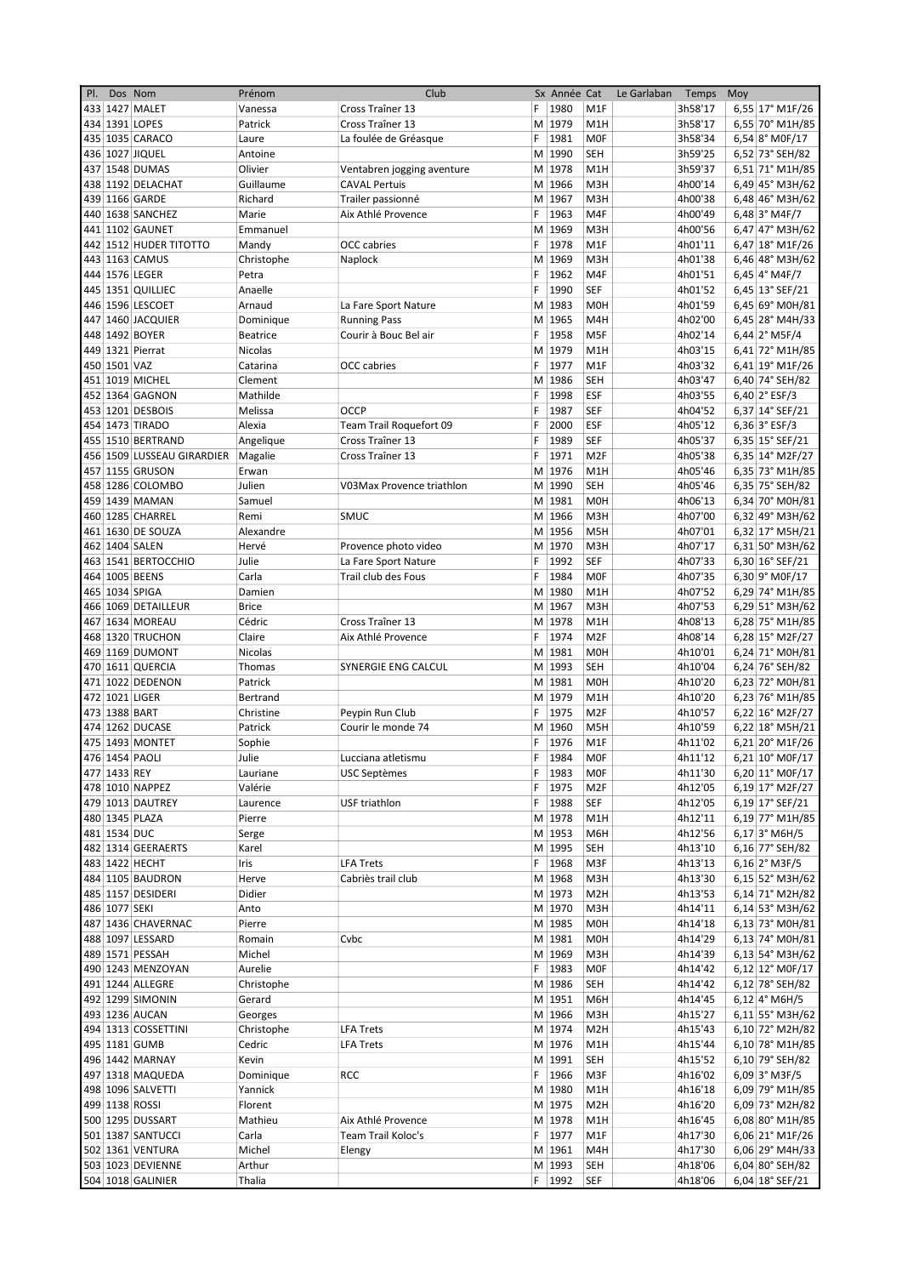| PI. |               | Dos Nom                    | Prénom          | Club                       |    | Sx Année Cat |                  | Le Garlaban | Temps   | Moy |                          |
|-----|---------------|----------------------------|-----------------|----------------------------|----|--------------|------------------|-------------|---------|-----|--------------------------|
|     |               | 433 1427 MALET             | Vanessa         | Cross Traîner 13           | F. | 1980         | M <sub>1</sub> F |             | 3h58'17 |     | 6,55 17° M1F/26          |
|     |               | 434 1391 LOPES             | Patrick         | Cross Traîner 13           |    | M 1979       | M <sub>1</sub> H |             | 3h58'17 |     | 6,55 70° M1H/85          |
|     |               | 435 1035 CARACO            | Laure           | La foulée de Gréasque      | F  | 1981         | <b>MOF</b>       |             | 3h58'34 |     | 6,54 8° M0F/17           |
|     |               | 436 1027 JIQUEL            | Antoine         |                            |    | M 1990       | SEH              |             | 3h59'25 |     |                          |
|     |               |                            |                 |                            |    |              |                  |             |         |     | 6,52 73° SEH/82          |
|     |               | 437 1548 DUMAS             | Olivier         | Ventabren jogging aventure |    | M 1978       | M <sub>1</sub> H |             | 3h59'37 |     | $6,51$ 71° M1H/85        |
|     |               | 438 1192 DELACHAT          | Guillaume       | <b>CAVAL Pertuis</b>       |    | M 1966       | M3H              |             | 4h00'14 |     | $6,49$ 45° M3H/62        |
|     |               | 439 1166 GARDE             | Richard         | Trailer passionné          |    | M 1967       | M <sub>3</sub> H |             | 4h00'38 |     | 6,48 46° M3H/62          |
|     |               | 440 1638 SANCHEZ           | Marie           | Aix Athlé Provence         | F  | 1963         | M4F              |             | 4h00'49 |     | 6,48 3° M4F/7            |
|     |               | 441 1102 GAUNET            | Emmanuel        |                            |    | M 1969       | M3H              |             | 4h00'56 |     | 6,47 47° M3H/62          |
|     |               | 442 1512 HUDER TITOTTO     | Mandy           | <b>OCC</b> cabries         | F. | 1978         | M <sub>1</sub> F |             | 4h01'11 |     | 6,47 18° M1F/26          |
|     |               |                            |                 |                            |    |              |                  |             |         |     |                          |
|     |               | 443 1163 CAMUS             | Christophe      | Naplock                    |    | M 1969       | M3H              |             | 4h01'38 |     | 6,46 48° M3H/62          |
|     |               | 444 1576 LEGER             | Petra           |                            | F  | 1962         | M4F              |             | 4h01'51 |     | $6,45$  4° M4F/7         |
|     |               | 445 1351 QUILLIEC          | Anaelle         |                            | F. | 1990         | SEF              |             | 4h01'52 |     | 6,45 13° SEF/21          |
|     |               | 446 1596 LESCOET           | Arnaud          | La Fare Sport Nature       |    | M 1983       | M <sub>OH</sub>  |             | 4h01'59 |     | 6,45 69° M0H/81          |
|     |               | 447 1460 JACQUIER          | Dominique       | <b>Running Pass</b>        | M  | 1965         | M4H              |             | 4h02'00 |     | 6,45 28° M4H/33          |
|     |               | 448 1492 BOYER             | <b>Beatrice</b> | Courir à Bouc Bel air      | F. | 1958         | M5F              |             | 4h02'14 |     | $6,44$ 2° M5F/4          |
|     |               | 449 1321 Pierrat           | Nicolas         |                            |    | M 1979       | M <sub>1</sub> H |             | 4h03'15 |     | 6,41 72° M1H/85          |
|     |               |                            |                 |                            |    |              |                  |             |         |     |                          |
|     | 450 1501 VAZ  |                            | Catarina        | OCC cabries                | F  | 1977         | M <sub>1F</sub>  |             | 4h03'32 |     | 6,41 19° M1F/26          |
|     |               | 451 1019 MICHEL            | Clement         |                            |    | M 1986       | <b>SEH</b>       |             | 4h03'47 |     | 6,40 74° SEH/82          |
|     |               | 452 1364 GAGNON            | Mathilde        |                            | F  | 1998         | ESF              |             | 4h03'55 |     | 6,40 $2^{\circ}$ ESF/3   |
|     |               | 453 1201 DESBOIS           | Melissa         | OCCP                       | F  | 1987         | <b>SEF</b>       |             | 4h04'52 |     | 6,37 14° SEF/21          |
|     |               | 454 1473 TIRADO            | Alexia          | Team Trail Roquefort 09    | F  | 2000         | <b>ESF</b>       |             | 4h05'12 |     | 6,36 3° ESF/3            |
|     |               | 455 1510 BERTRAND          | Angelique       | Cross Traîner 13           | F  | 1989         | SEF              |             | 4h05'37 |     |                          |
|     |               |                            |                 |                            |    |              |                  |             |         |     | 6,35 $15^{\circ}$ SEF/21 |
|     |               | 456 1509 LUSSEAU GIRARDIER | Magalie         | Cross Traîner 13           | F  | 1971         | M <sub>2F</sub>  |             | 4h05'38 |     | 6,35 14° M2F/27          |
|     |               | 457 1155 GRUSON            | Erwan           |                            |    | M 1976       | M <sub>1</sub> H |             | 4h05'46 |     | 6,35 73° M1H/85          |
|     |               | 458 1286 COLOMBO           | Julien          | V03Max Provence triathlon  |    | M 1990       | <b>SEH</b>       |             | 4h05'46 |     | 6,35 75° SEH/82          |
|     |               | 459 1439 MAMAN             | Samuel          |                            |    | M 1981       | M <sub>OH</sub>  |             | 4h06'13 |     | 6,34 70° M0H/81          |
|     |               | 460 1285 CHARREL           | Remi            | <b>SMUC</b>                |    | M 1966       | M3H              |             | 4h07'00 |     | 6,32 49° M3H/62          |
|     |               | 461 1630 DE SOUZA          | Alexandre       |                            |    | M 1956       | M <sub>5</sub> H |             | 4h07'01 |     | $6,32$ 17° M5H/21        |
|     |               |                            |                 |                            |    |              |                  |             |         |     |                          |
|     |               | 462 1404 SALEN             | Hervé           | Provence photo video       |    | M 1970       | M3H              |             | 4h07'17 |     | 6,31 50° M3H/62          |
|     |               | 463 1541 BERTOCCHIO        | Julie           | La Fare Sport Nature       | F  | 1992         | SEF              |             | 4h07'33 |     | 6,30 16° SEF/21          |
|     |               | 464 1005 BEENS             | Carla           | Trail club des Fous        | F  | 1984         | <b>MOF</b>       |             | 4h07'35 |     | 6,30 9° M0F/17           |
|     |               | 465 1034 SPIGA             | Damien          |                            |    | M 1980       | M <sub>1</sub> H |             | 4h07'52 |     | 6,29 74° M1H/85          |
|     |               | 466 1069 DETAILLEUR        | <b>Brice</b>    |                            |    | M 1967       | M3H              |             | 4h07'53 |     | 6,29 51° M3H/62          |
|     |               | 467 1634 MOREAU            | Cédric          | Cross Traîner 13           |    | M 1978       | M <sub>1</sub> H |             | 4h08'13 |     | $6,28$ 75° M1H/85        |
|     |               |                            |                 |                            |    |              |                  |             |         |     |                          |
|     |               | 468 1320 TRUCHON           | Claire          | Aix Athlé Provence         | F  | 1974         | M <sub>2F</sub>  |             | 4h08'14 |     | 6,28 15° M2F/27          |
|     |               | 469 1169 DUMONT            | Nicolas         |                            |    | M 1981       | <b>MOH</b>       |             | 4h10'01 |     | 6,24 71° M0H/81          |
|     |               | 470 1611 QUERCIA           | Thomas          | SYNERGIE ENG CALCUL        |    | M 1993       | <b>SEH</b>       |             | 4h10'04 |     | 6,24 76° SEH/82          |
|     |               | 471 1022 DEDENON           | Patrick         |                            |    | M 1981       | M <sub>OH</sub>  |             | 4h10'20 |     | 6,23 72° M0H/81          |
|     |               | 472 1021 LIGER             | Bertrand        |                            |    | M 1979       | M1H              |             | 4h10'20 |     | 6,23 76° M1H/85          |
|     |               | 473 1388 BART              | Christine       | Peypin Run Club            | F. | 1975         | M <sub>2F</sub>  |             | 4h10'57 |     | 6,22 16° M2F/27          |
|     |               |                            |                 | Courir le monde 74         |    |              |                  |             |         |     |                          |
|     |               | 474 1262 DUCASE            | Patrick         |                            |    | M 1960       | M <sub>5</sub> H |             | 4h10'59 |     | 6,22 18° M5H/21          |
|     |               | 475 1493 MONTET            | Sophie          |                            | F  | 1976         | M1F              |             | 4h11'02 |     | 6,21 20° M1F/26          |
|     |               | 476 1454 PAOLI             | Julie           | Lucciana atletismu         | F  | 1984         | <b>MOF</b>       |             | 4h11'12 |     | 6,21 10° M0F/17          |
|     | 477 1433 REY  |                            | Lauriane        | <b>USC Septèmes</b>        | F  | 1983         | MOF              |             | 4h11'30 |     | 6,20 11° M0F/17          |
|     |               | 478 1010 NAPPEZ            | Valérie         |                            | F  | 1975         | M <sub>2F</sub>  |             | 4h12'05 |     | 6,19 17° M2F/27          |
|     |               | 479 1013 DAUTREY           | Laurence        | USF triathlon              |    | F 1988       | <b>SEF</b>       |             | 4h12'05 |     | 6,19 17° SEF/21          |
|     |               | 480 1345 PLAZA             | Pierre          |                            |    | M 1978       | M1H              |             | 4h12'11 |     | 6,19 77° M1H/85          |
|     |               |                            |                 |                            |    |              |                  |             |         |     |                          |
|     | 481 1534 DUC  |                            | Serge           |                            |    | M 1953       | M6H              |             | 4h12'56 |     | $6,17$ 3° M6H/5          |
|     |               | 482 1314 GEERAERTS         | Karel           |                            |    | M 1995       | SEH              |             | 4h13'10 |     | 6,16 77° SEH/82          |
|     |               | 483 1422 HECHT             | Iris            | <b>LFA Trets</b>           | F. | 1968         | M3F              |             | 4h13'13 |     | 6,16 2° M3F/5            |
|     |               | 484 1105 BAUDRON           | Herve           | Cabriès trail club         |    | M 1968       | M3H              |             | 4h13'30 |     | $6,15$ 52° M3H/62        |
|     |               | 485 1157 DESIDERI          | Didier          |                            |    | M 1973       | M <sub>2</sub> H |             | 4h13'53 |     | 6,14 71° M2H/82          |
|     | 486 1077 SEKI |                            | Anto            |                            |    | M 1970       | M3H              |             | 4h14'11 |     | 6,14 53° M3H/62          |
|     |               |                            |                 |                            |    |              |                  |             |         |     |                          |
|     |               | 487 1436 CHAVERNAC         | Pierre          |                            |    | M 1985       | M0H              |             | 4h14'18 |     | 6,13 73° M0H/81          |
|     |               | 488 1097 LESSARD           | Romain          | Cvbc                       |    | M 1981       | M0H              |             | 4h14'29 |     | 6,13 74° M0H/81          |
|     |               | 489 1571 PESSAH            | Michel          |                            |    | M 1969       | M3H              |             | 4h14'39 |     | 6,13 54° M3H/62          |
|     |               | 490 1243 MENZOYAN          | Aurelie         |                            | F. | 1983         | <b>MOF</b>       |             | 4h14'42 |     | 6,12 12° M0F/17          |
|     |               | 491 1244 ALLEGRE           | Christophe      |                            |    | M 1986       | SEH              |             | 4h14'42 |     | 6,12 78° SEH/82          |
|     |               | 492 1299 SIMONIN           | Gerard          |                            |    | M 1951       | M6H              |             | 4h14'45 |     | $6,12$ 4° M6H/5          |
|     |               | 493 1236 AUCAN             |                 |                            |    | M 1966       | M3H              |             | 4h15'27 |     |                          |
|     |               |                            | Georges         |                            |    |              |                  |             |         |     | $6,11$ 55° M3H/62        |
|     |               | 494 1313 COSSETTINI        | Christophe      | <b>LFA Trets</b>           |    | M 1974       | M <sub>2</sub> H |             | 4h15'43 |     | 6,10 72° M2H/82          |
|     |               | 495 1181 GUMB              | Cedric          | <b>LFA Trets</b>           |    | M 1976       | M1H              |             | 4h15'44 |     | 6,10 78° M1H/85          |
|     |               | 496 1442 MARNAY            | Kevin           |                            |    | M 1991       | SEH              |             | 4h15'52 |     | 6,10 79° SEH/82          |
|     |               | 497 1318 MAQUEDA           | Dominique       | RCC                        | F. | 1966         | M3F              |             | 4h16'02 |     | $6,09$ 3° M3F/5          |
|     |               | 498 1096 SALVETTI          | Yannick         |                            |    | M 1980       | M1H              |             | 4h16'18 |     | 6,09 79° M1H/85          |
|     |               | 499 1138 ROSSI             | Florent         |                            |    | M 1975       | M <sub>2</sub> H |             | 4h16'20 |     | 6,09 73° M2H/82          |
|     |               |                            |                 |                            |    |              |                  |             |         |     |                          |
|     |               | 500 1295 DUSSART           | Mathieu         | Aix Athlé Provence         |    | M 1978       | M1H              |             | 4h16'45 |     | 6,08 80° M1H/85          |
|     |               | 501 1387 SANTUCCI          | Carla           | Team Trail Koloc's         |    | F 1977       | M1F              |             | 4h17'30 |     | 6,06 21° M1F/26          |
|     |               | 502 1361 VENTURA           | Michel          | Elengy                     |    | M 1961       | M4H              |             | 4h17'30 |     | 6,06 29° M4H/33          |
|     |               | 503 1023 DEVIENNE          | Arthur          |                            |    | M 1993       | SEH              |             | 4h18'06 |     | 6,04 80° SEH/82          |
|     |               | 504 1018 GALINIER          | Thalia          |                            |    | F 1992       | SEF              |             | 4h18'06 |     | 6,04 18° SEF/21          |
|     |               |                            |                 |                            |    |              |                  |             |         |     |                          |